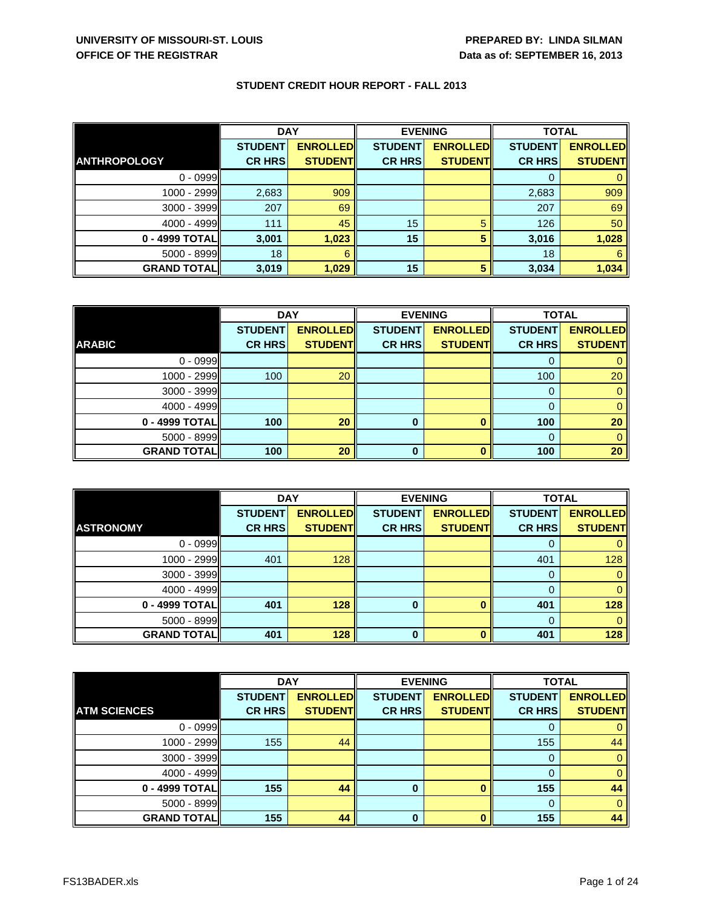|                     | <b>DAY</b>     |                 | <b>EVENING</b> |                 | <b>TOTAL</b>   |                 |
|---------------------|----------------|-----------------|----------------|-----------------|----------------|-----------------|
|                     | <b>STUDENT</b> | <b>ENROLLED</b> | <b>STUDENT</b> | <b>ENROLLED</b> | <b>STUDENT</b> | <b>ENROLLED</b> |
| <b>ANTHROPOLOGY</b> | <b>CR HRS</b>  | <b>STUDENT</b>  | <b>CR HRS</b>  | <b>STUDENT</b>  | <b>CR HRS</b>  | <b>STUDENT</b>  |
| $0 - 0999$          |                |                 |                |                 |                |                 |
| 1000 - 2999         | 2,683          | 909             |                |                 | 2,683          | 909             |
| $3000 - 3999$       | 207            | 69              |                |                 | 207            | 69              |
| $4000 - 4999$       | 111            | 45              | 15             | 5               | 126            | 50              |
| 0 - 4999 TOTAL      | 3,001          | 1,023           | 15             | 5               | 3,016          | 1,028           |
| 5000 - 8999         | 18             | 6               |                |                 | 18             | 6               |
| <b>GRAND TOTAL</b>  | 3,019          | 1,029           | 15             | 5               | 3,034          | 1,034           |

|                    | <b>DAY</b>     |                 |                | <b>EVENING</b>  |                | <b>TOTAL</b>    |  |
|--------------------|----------------|-----------------|----------------|-----------------|----------------|-----------------|--|
|                    | <b>STUDENT</b> | <b>ENROLLED</b> | <b>STUDENT</b> | <b>ENROLLED</b> | <b>STUDENT</b> | <b>ENROLLED</b> |  |
| <b>ARABIC</b>      | <b>CR HRS</b>  | <b>STUDENT</b>  | <b>CR HRS</b>  | <b>STUDENT</b>  | <b>CR HRS</b>  | <b>STUDENT</b>  |  |
| $0 - 0999$         |                |                 |                |                 |                |                 |  |
| 1000 - 2999        | 100            | 20              |                |                 | 100            | 20              |  |
| 3000 - 3999        |                |                 |                |                 | 0              |                 |  |
| $4000 - 4999$      |                |                 |                |                 |                |                 |  |
| 0 - 4999 TOTAL     | 100            | 20              | 0              |                 | 100            | 20              |  |
| 5000 - 8999        |                |                 |                |                 |                |                 |  |
| <b>GRAND TOTAL</b> | 100            | 20              | 0              |                 | 100            | 20              |  |

|                    | <b>DAY</b>     |                 | <b>EVENING</b> |                 | <b>TOTAL</b>   |                 |
|--------------------|----------------|-----------------|----------------|-----------------|----------------|-----------------|
|                    | <b>STUDENT</b> | <b>ENROLLED</b> | <b>STUDENT</b> | <b>ENROLLED</b> | <b>STUDENT</b> | <b>ENROLLED</b> |
| <b>ASTRONOMY</b>   | <b>CR HRS</b>  | <b>STUDENT</b>  | <b>CR HRS</b>  | <b>STUDENT</b>  | <b>CR HRS</b>  | <b>STUDENT</b>  |
| $0 - 0999$         |                |                 |                |                 | 0              |                 |
| 1000 - 2999        | 401            | 128             |                |                 | 401            | 128             |
| 3000 - 3999        |                |                 |                |                 | 0              |                 |
| $4000 - 4999$      |                |                 |                |                 | 0              |                 |
| 0 - 4999 TOTAL     | 401            | 128             | $\bf{0}$       | <sup>0</sup>    | 401            | 128             |
| $5000 - 8999$      |                |                 |                |                 | 0              |                 |
| <b>GRAND TOTAL</b> | 401            | 128             | $\bf{0}$       |                 | 401            | 128             |

|                     | <b>DAY</b>     |                 | <b>EVENING</b> |                 | <b>TOTAL</b>   |                 |
|---------------------|----------------|-----------------|----------------|-----------------|----------------|-----------------|
|                     | <b>STUDENT</b> | <b>ENROLLED</b> | <b>STUDENT</b> | <b>ENROLLED</b> | <b>STUDENT</b> | <b>ENROLLED</b> |
| <b>ATM SCIENCES</b> | <b>CR HRS</b>  | <b>STUDENT</b>  | <b>CR HRS</b>  | <b>STUDENT</b>  | <b>CR HRS</b>  | <b>STUDENT</b>  |
| $0 - 0999$          |                |                 |                |                 |                |                 |
| 1000 - 2999         | 155            | 44              |                |                 | 155            | 44              |
| 3000 - 3999         |                |                 |                |                 | 0              |                 |
| $4000 - 4999$       |                |                 |                |                 | 0              |                 |
| 0 - 4999 TOTAL      | 155            | 44              | 0              |                 | 155            | 44              |
| 5000 - 8999         |                |                 |                |                 | 0              |                 |
| <b>GRAND TOTAL</b>  | 155            | 44              | <sup>0</sup>   |                 | 155            | 44              |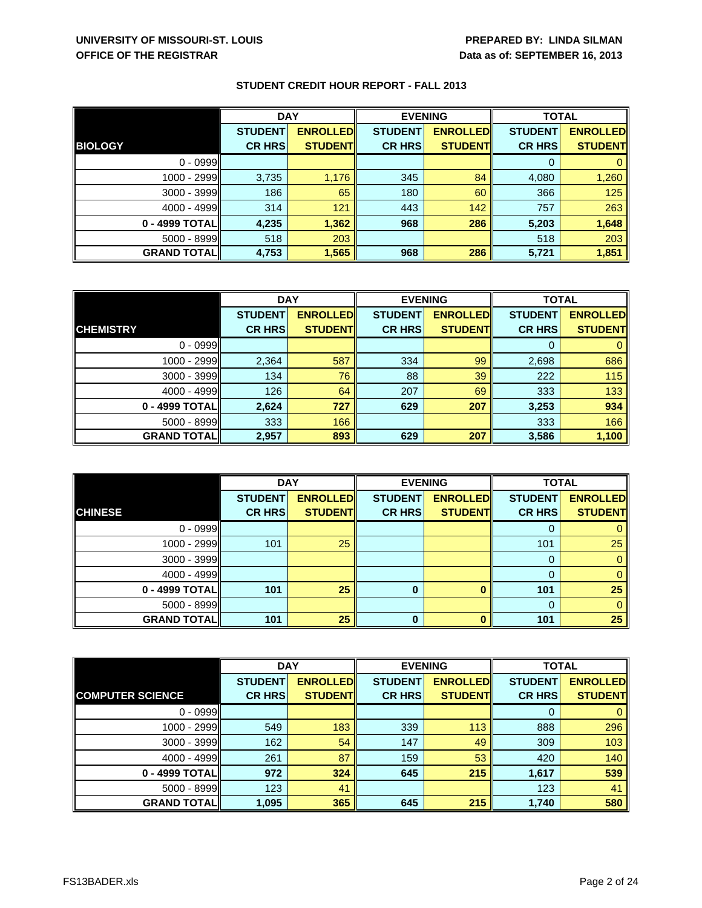| <b>STUDENT CREDIT HOUR REPORT - FALL 2013</b> |  |  |  |  |  |
|-----------------------------------------------|--|--|--|--|--|
|-----------------------------------------------|--|--|--|--|--|

|                    | <b>DAY</b>     |                 | <b>EVENING</b> |                 | <b>TOTAL</b>   |                 |
|--------------------|----------------|-----------------|----------------|-----------------|----------------|-----------------|
|                    | <b>STUDENT</b> | <b>ENROLLED</b> | <b>STUDENT</b> | <b>ENROLLED</b> | <b>STUDENT</b> | <b>ENROLLED</b> |
| <b>BIOLOGY</b>     | <b>CR HRS</b>  | <b>STUDENT</b>  | <b>CR HRS</b>  | <b>STUDENTI</b> | <b>CR HRS</b>  | <b>STUDENTI</b> |
| $0 - 0999$         |                |                 |                |                 | 0              |                 |
| 1000 - 2999        | 3,735          | 1,176           | 345            | 84              | 4,080          | 1,260           |
| $3000 - 3999$      | 186            | 65              | 180            | 60              | 366            | 125             |
| $4000 - 4999$      | 314            | 121             | 443            | 142             | 757            | 263             |
| 0 - 4999 TOTAL     | 4,235          | 1,362           | 968            | 286             | 5,203          | 1,648           |
| $5000 - 8999$      | 518            | 203             |                |                 | 518            | 203             |
| <b>GRAND TOTAL</b> | 4,753          | 1,565           | 968            | 286             | 5,721          | 1,851           |

|                    | <b>DAY</b>     |                 | <b>EVENING</b> |                 | <b>TOTAL</b>   |                 |
|--------------------|----------------|-----------------|----------------|-----------------|----------------|-----------------|
|                    | <b>STUDENT</b> | <b>ENROLLED</b> | <b>STUDENT</b> | <b>ENROLLED</b> | <b>STUDENT</b> | <b>ENROLLED</b> |
| <b>CHEMISTRY</b>   | <b>CR HRS</b>  | <b>STUDENT</b>  | <b>CR HRS</b>  | <b>STUDENT</b>  | <b>CR HRS</b>  | <b>STUDENT</b>  |
| $0 - 0999$         |                |                 |                |                 |                |                 |
| 1000 - 2999        | 2,364          | 587             | 334            | 99              | 2,698          | 686             |
| $3000 - 3999$      | 134            | 76              | 88             | 39              | 222            | 115             |
| $4000 - 4999$      | 126            | 64              | 207            | 69              | 333            | 133             |
| 0 - 4999 TOTALI    | 2,624          | 727             | 629            | 207             | 3,253          | 934             |
| 5000 - 8999        | 333            | 166             |                |                 | 333            | 166             |
| <b>GRAND TOTAL</b> | 2,957          | 893             | 629            | 207             | 3,586          | 1,100           |

|                    | <b>DAY</b>     |                 | <b>EVENING</b> |                 | <b>TOTAL</b>   |                 |
|--------------------|----------------|-----------------|----------------|-----------------|----------------|-----------------|
|                    | <b>STUDENT</b> | <b>ENROLLED</b> | <b>STUDENT</b> | <b>ENROLLED</b> | <b>STUDENT</b> | <b>ENROLLED</b> |
| <b>CHINESE</b>     | <b>CR HRS</b>  | <b>STUDENT</b>  | <b>CR HRS</b>  | <b>STUDENT</b>  | <b>CR HRS</b>  | <b>STUDENT</b>  |
| $0 - 0999$         |                |                 |                |                 | 0              |                 |
| 1000 - 2999        | 101            | 25              |                |                 | 101            | 25              |
| $3000 - 3999$      |                |                 |                |                 | 0              |                 |
| $4000 - 4999$      |                |                 |                |                 | 0              |                 |
| 0 - 4999 TOTAL     | 101            | 25              | 0              |                 | 101            | 25              |
| $5000 - 8999$      |                |                 |                |                 | 0              |                 |
| <b>GRAND TOTAL</b> | 101            | 25              | n              |                 | 101            | 25              |

|                         | <b>DAY</b>     |                 | <b>EVENING</b> |                 | <b>TOTAL</b>   |                 |
|-------------------------|----------------|-----------------|----------------|-----------------|----------------|-----------------|
|                         | <b>STUDENT</b> | <b>ENROLLED</b> | <b>STUDENT</b> | <b>ENROLLED</b> | <b>STUDENT</b> | <b>ENROLLED</b> |
| <b>COMPUTER SCIENCE</b> | <b>CR HRS</b>  | <b>STUDENT</b>  | <b>CR HRS</b>  | <b>STUDENT</b>  | <b>CR HRS</b>  | <b>STUDENT</b>  |
| $0 - 0999$              |                |                 |                |                 | 0              |                 |
| 1000 - 2999             | 549            | 183             | 339            | 113             | 888            | 296             |
| $3000 - 3999$           | 162            | 54              | 147            | 49              | 309            | 103             |
| $4000 - 4999$           | 261            | 87              | 159            | 53              | 420            | 140             |
| 0 - 4999 TOTAL          | 972            | 324             | 645            | 215             | 1,617          | 539             |
| 5000 - 8999             | 123            | 41              |                |                 | 123            | 41              |
| <b>GRAND TOTAL</b>      | 1,095          | 365             | 645            | 215             | 1,740          | 580             |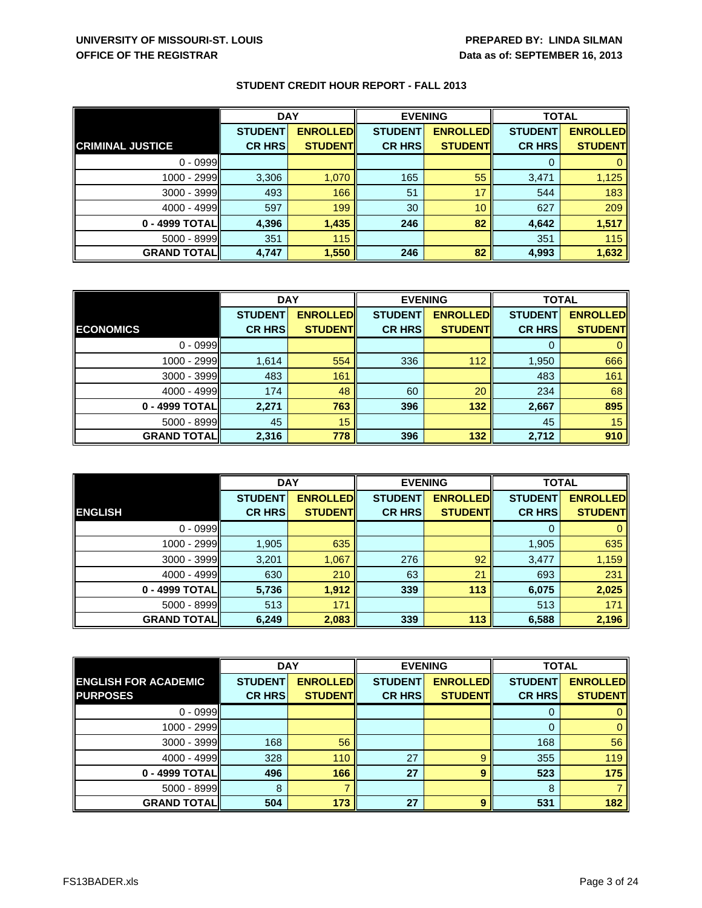| <b>STUDENT CREDIT HOUR REPORT - FALL 2013</b> |  |
|-----------------------------------------------|--|
|-----------------------------------------------|--|

|                         | <b>DAY</b>     |                  | <b>EVENING</b> |                 | <b>TOTAL</b>   |                  |
|-------------------------|----------------|------------------|----------------|-----------------|----------------|------------------|
|                         | <b>STUDENT</b> | <b>ENROLLEDI</b> | <b>STUDENT</b> | <b>ENROLLED</b> | <b>STUDENT</b> | <b>ENROLLED</b>  |
| <b>CRIMINAL JUSTICE</b> | <b>CR HRS</b>  | <b>STUDENTI</b>  | <b>CR HRS</b>  | <b>STUDENTI</b> | <b>CR HRS</b>  | <b>STUDENTI</b>  |
| $0 - 0999$              |                |                  |                |                 | 0              |                  |
| $1000 - 2999$           | 3,306          | 1,070            | 165            | 55              | 3,471          | 1,125            |
| $3000 - 3999$           | 493            | 166              | 51             | 17              | 544            | 183              |
| $4000 - 4999$           | 597            | 199              | 30             | 10              | 627            | 209              |
| 0 - 4999 TOTALI         | 4,396          | 1,435            | 246            | 82              | 4,642          | 1,517            |
| 5000 - 8999             | 351            | 115              |                |                 | 351            | 115 <sup>1</sup> |
| <b>GRAND TOTAL</b>      | 4,747          | 1,550            | 246            | 82              | 4,993          | 1,632            |

|                    | <b>DAY</b>     |                 | <b>EVENING</b> |                 | <b>TOTAL</b>   |                 |
|--------------------|----------------|-----------------|----------------|-----------------|----------------|-----------------|
|                    | <b>STUDENT</b> | <b>ENROLLED</b> | <b>STUDENT</b> | <b>ENROLLED</b> | <b>STUDENT</b> | <b>ENROLLED</b> |
| <b>ECONOMICS</b>   | <b>CR HRS</b>  | <b>STUDENT</b>  | <b>CR HRS</b>  | <b>STUDENT</b>  | <b>CR HRS</b>  | <b>STUDENT</b>  |
| $0 - 0999$         |                |                 |                |                 |                |                 |
| 1000 - 2999        | 1,614          | 554             | 336            | 112             | 1,950          | 666             |
| $3000 - 3999$      | 483            | 161             |                |                 | 483            | 161             |
| $4000 - 4999$      | 174            | 48              | 60             | 20              | 234            | 68              |
| 0 - 4999 TOTAL     | 2,271          | 763             | 396            | 132             | 2,667          | 895             |
| $5000 - 8999$      | 45             | 15              |                |                 | 45             | 15              |
| <b>GRAND TOTAL</b> | 2,316          | 778             | 396            | 132             | 2,712          | 910             |

|                    | <b>DAY</b>     |                 | <b>EVENING</b> |                 | <b>TOTAL</b>   |                 |
|--------------------|----------------|-----------------|----------------|-----------------|----------------|-----------------|
|                    | <b>STUDENT</b> | <b>ENROLLED</b> | <b>STUDENT</b> | <b>ENROLLED</b> | <b>STUDENT</b> | <b>ENROLLED</b> |
| <b>ENGLISH</b>     | <b>CR HRS</b>  | <b>STUDENT</b>  | <b>CR HRS</b>  | <b>STUDENT</b>  | <b>CR HRS</b>  | <b>STUDENT</b>  |
| $0 - 0999$         |                |                 |                |                 | 0              |                 |
| 1000 - 2999        | 1,905          | 635             |                |                 | 1,905          | 635             |
| $3000 - 3999$      | 3,201          | 1,067           | 276            | 92              | 3,477          | 1,159           |
| $4000 - 4999$      | 630            | 210             | 63             | 21              | 693            | 231             |
| 0 - 4999 TOTAL     | 5,736          | 1,912           | 339            | 113             | 6,075          | 2,025           |
| $5000 - 8999$      | 513            | 171             |                |                 | 513            | 171             |
| <b>GRAND TOTAL</b> | 6,249          | 2,083           | 339            | 113             | 6,588          | 2,196           |

|                             | <b>DAY</b>     |                 | <b>EVENING</b> |                 | <b>TOTAL</b>   |                  |
|-----------------------------|----------------|-----------------|----------------|-----------------|----------------|------------------|
| <b>ENGLISH FOR ACADEMIC</b> | <b>STUDENT</b> | <b>ENROLLED</b> | <b>STUDENT</b> | <b>ENROLLED</b> | <b>STUDENT</b> | <b>ENROLLED</b>  |
| <b>PURPOSES</b>             | <b>CR HRS</b>  | <b>STUDENT</b>  | <b>CR HRS</b>  | <b>STUDENT</b>  | <b>CR HRS</b>  | <b>STUDENT</b>   |
| $0 - 0999$                  |                |                 |                |                 | 0              |                  |
| 1000 - 2999                 |                |                 |                |                 | 0              |                  |
| 3000 - 3999                 | 168            | 56              |                |                 | 168            | 56               |
| $4000 - 4999$               | 328            | 110             | 27             | 9               | 355            | 119 <sup>1</sup> |
| 0 - 4999 TOTAL              | 496            | 166             | 27             | 9               | 523            | 175              |
| 5000 - 8999                 | 8              |                 |                |                 | 8              |                  |
| <b>GRAND TOTAL</b>          | 504            | 173             | 27             | 9               | 531            | 182              |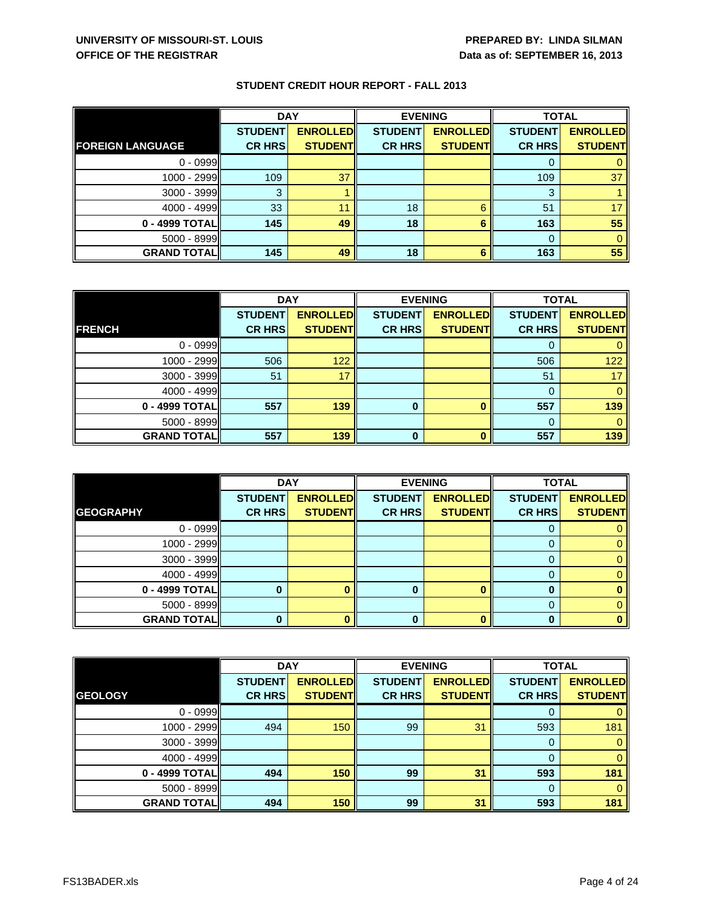|                         | <b>DAY</b>     |                 | <b>EVENING</b> |                 | <b>TOTAL</b>   |                 |
|-------------------------|----------------|-----------------|----------------|-----------------|----------------|-----------------|
|                         | <b>STUDENT</b> | <b>ENROLLED</b> | <b>STUDENT</b> | <b>ENROLLED</b> | <b>STUDENT</b> | <b>ENROLLED</b> |
| <b>FOREIGN LANGUAGE</b> | <b>CR HRS</b>  | <b>STUDENT</b>  | <b>CR HRS</b>  | <b>STUDENT</b>  | <b>CR HRS</b>  | <b>STUDENT</b>  |
| $0 - 0999$              |                |                 |                |                 | O              |                 |
| $1000 - 2999$           | 109            | 37              |                |                 | 109            | 37              |
| 3000 - 3999             | 3              |                 |                |                 | 3              |                 |
| $4000 - 4999$           | 33             | 11              | 18             | 6               | 51             |                 |
| 0 - 4999 TOTALI         | 145            | 49              | 18             |                 | 163            | 55              |
| 5000 - 8999             |                |                 |                |                 | $\Omega$       |                 |
| <b>GRAND TOTAL</b>      | 145            | 49              | 18             |                 | 163            | 55              |

|                     | <b>DAY</b>     |                 | <b>EVENING</b> |                 | <b>TOTAL</b>   |                 |
|---------------------|----------------|-----------------|----------------|-----------------|----------------|-----------------|
|                     | <b>STUDENT</b> | <b>ENROLLED</b> | <b>STUDENT</b> | <b>ENROLLED</b> | <b>STUDENT</b> | <b>ENROLLED</b> |
| <b>FRENCH</b>       | <b>CR HRS</b>  | <b>STUDENT</b>  | <b>CR HRS</b>  | <b>STUDENT</b>  | <b>CR HRS</b>  | <b>STUDENT</b>  |
| $0 - 0999$          |                |                 |                |                 |                |                 |
| $1000 - 2999$       | 506            | 122             |                |                 | 506            | 122             |
| $3000 - 3999$       | 51             | 17              |                |                 | 51             |                 |
| $4000 - 4999$       |                |                 |                |                 |                |                 |
| 0 - 4999 TOTAL      | 557            | 139             | 0              |                 | 557            | 139             |
| $5000 - 8999$       |                |                 |                |                 |                |                 |
| <b>GRAND TOTALI</b> | 557            | 139             | $\bf{0}$       |                 | 557            | 139             |

|                    | <b>DAY</b>     |                 | <b>EVENING</b> |                 | <b>TOTAL</b>   |                 |
|--------------------|----------------|-----------------|----------------|-----------------|----------------|-----------------|
|                    | <b>STUDENT</b> | <b>ENROLLED</b> | <b>STUDENT</b> | <b>ENROLLED</b> | <b>STUDENT</b> | <b>ENROLLED</b> |
| <b>GEOGRAPHY</b>   | <b>CR HRS</b>  | <b>STUDENT</b>  | <b>CR HRS</b>  | <b>STUDENT</b>  | <b>CR HRS</b>  | <b>STUDENT</b>  |
| $0 - 0999$         |                |                 |                |                 |                |                 |
| $1000 - 2999$      |                |                 |                |                 |                |                 |
| $3000 - 3999$      |                |                 |                |                 |                |                 |
| $4000 - 4999$      |                |                 |                |                 |                |                 |
| $0 - 4999$ TOTAL   |                |                 |                |                 |                |                 |
| $5000 - 8999$      |                |                 |                |                 |                |                 |
| <b>GRAND TOTAL</b> |                |                 |                |                 |                |                 |

|                    | <b>DAY</b>     |                 | <b>EVENING</b> |                 | <b>TOTAL</b>   |                 |
|--------------------|----------------|-----------------|----------------|-----------------|----------------|-----------------|
|                    | <b>STUDENT</b> | <b>ENROLLED</b> | <b>STUDENT</b> | <b>ENROLLED</b> | <b>STUDENT</b> | <b>ENROLLED</b> |
| <b>GEOLOGY</b>     | <b>CR HRS</b>  | <b>STUDENT</b>  | <b>CR HRS</b>  | <b>STUDENT</b>  | <b>CR HRS</b>  | <b>STUDENT</b>  |
| $0 - 0999$         |                |                 |                |                 | 0              |                 |
| 1000 - 2999        | 494            | 150             | 99             | 31              | 593            | 181             |
| 3000 - 3999        |                |                 |                |                 | 0              |                 |
| $4000 - 4999$      |                |                 |                |                 | $\Omega$       |                 |
| 0 - 4999 TOTAL     | 494            | 150             | 99             | 31              | 593            | 181             |
| 5000 - 8999        |                |                 |                |                 | $\Omega$       |                 |
| <b>GRAND TOTAL</b> | 494            | 150             | 99             | 31              | 593            | 181             |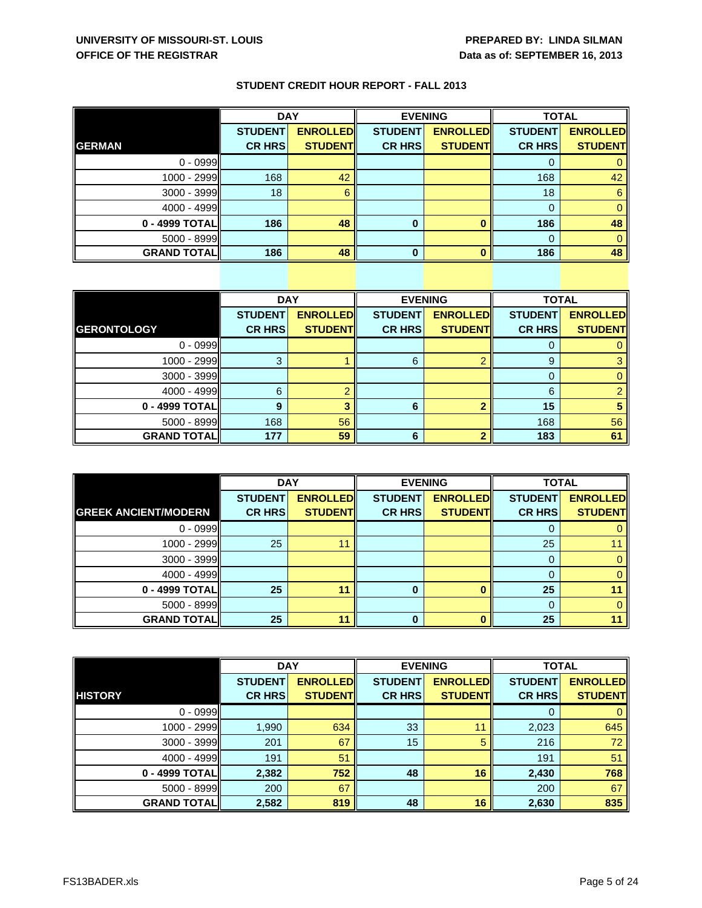|                    | <b>DAY</b>     |                 | <b>EVENING</b> |                 | <b>TOTAL</b>   |                 |
|--------------------|----------------|-----------------|----------------|-----------------|----------------|-----------------|
|                    | <b>STUDENT</b> | <b>ENROLLED</b> | <b>STUDENT</b> | <b>ENROLLED</b> | <b>STUDENT</b> | <b>ENROLLED</b> |
| <b>GERMAN</b>      | <b>CR HRS</b>  | <b>STUDENT</b>  | <b>CR HRS</b>  | <b>STUDENT</b>  | <b>CR HRS</b>  | <b>STUDENT</b>  |
| $0 - 0999$         |                |                 |                |                 | 0              |                 |
| 1000 - 2999        | 168            | 42              |                |                 | 168            | 42              |
| 3000 - 3999        | 18             |                 |                |                 | 18             | 6               |
| $4000 - 4999$      |                |                 |                |                 | 0              |                 |
| 0 - 4999 TOTAL     | 186            | 48              | 0              |                 | 186            | 48              |
| 5000 - 8999        |                |                 |                |                 | $\Omega$       |                 |
| <b>GRAND TOTAL</b> | 186            | 48              | 0              |                 | 186            | 48              |

|                     | <b>DAY</b>     |                 | <b>EVENING</b> |                 | <b>TOTAL</b>   |                 |
|---------------------|----------------|-----------------|----------------|-----------------|----------------|-----------------|
|                     | <b>STUDENT</b> | <b>ENROLLED</b> | <b>STUDENT</b> | <b>ENROLLED</b> | <b>STUDENT</b> | <b>ENROLLED</b> |
| <b>GERONTOLOGY</b>  | <b>CR HRS</b>  | <b>STUDENT</b>  | <b>CR HRS</b>  | <b>STUDENT</b>  | <b>CR HRS</b>  | <b>STUDENT</b>  |
| $0 - 0999$          |                |                 |                |                 |                |                 |
| 1000 - 2999         |                |                 | 6              |                 | 9              |                 |
| 3000 - 3999         |                |                 |                |                 |                |                 |
| 4000 - 4999         | 6              |                 |                |                 | 6              |                 |
| 0 - 4999 TOTAL      | 9              |                 | 6              |                 | 15             |                 |
| $5000 - 8999$       | 168            | 56              |                |                 | 168            | 56              |
| <b>GRAND TOTALI</b> | 177            | 59              | 6              |                 | 183            | 61              |

|                             | <b>DAY</b>     |                 | <b>EVENING</b> |                 | <b>TOTAL</b>   |                 |
|-----------------------------|----------------|-----------------|----------------|-----------------|----------------|-----------------|
|                             | <b>STUDENT</b> | <b>ENROLLED</b> | <b>STUDENT</b> | <b>ENROLLED</b> | <b>STUDENT</b> | <b>ENROLLED</b> |
| <b>GREEK ANCIENT/MODERN</b> | <b>CR HRS</b>  | <b>STUDENT</b>  | <b>CR HRS</b>  | <b>STUDENT</b>  | <b>CR HRS</b>  | <b>STUDENT</b>  |
| $0 - 0999$                  |                |                 |                |                 | 0              |                 |
| $1000 - 2999$               | 25             | 11              |                |                 | 25             |                 |
| $3000 - 3999$               |                |                 |                |                 | 0              |                 |
| $4000 - 4999$               |                |                 |                |                 |                |                 |
| 0 - 4999 TOTAL              | 25             | 11              | o              |                 | 25             |                 |
| $5000 - 8999$               |                |                 |                |                 | 0              |                 |
| <b>GRAND TOTAL</b>          | 25             | 11              | n              |                 | 25             |                 |

|                    | <b>DAY</b>     |                 | <b>EVENING</b> |                 | <b>TOTAL</b>   |                 |
|--------------------|----------------|-----------------|----------------|-----------------|----------------|-----------------|
|                    | <b>STUDENT</b> | <b>ENROLLED</b> | <b>STUDENT</b> | <b>ENROLLED</b> | <b>STUDENT</b> | <b>ENROLLED</b> |
| <b>HISTORY</b>     | <b>CR HRS</b>  | <b>STUDENT</b>  | <b>CR HRS</b>  | <b>STUDENT</b>  | <b>CR HRS</b>  | <b>STUDENT</b>  |
| $0 - 0999$         |                |                 |                |                 |                |                 |
| 1000 - 2999        | 1,990          | 634             | 33             | 11              | 2,023          | 645             |
| $3000 - 3999$      | 201            | 67              | 15             | 5               | 216            | 72              |
| $4000 - 4999$      | 191            | 51              |                |                 | 191            | 51              |
| 0 - 4999 TOTAL     | 2,382          | 752             | 48             | 16              | 2,430          | 768             |
| 5000 - 8999        | 200            | 67              |                |                 | 200            | 67              |
| <b>GRAND TOTAL</b> | 2,582          | 819             | 48             | 16              | 2,630          | 835             |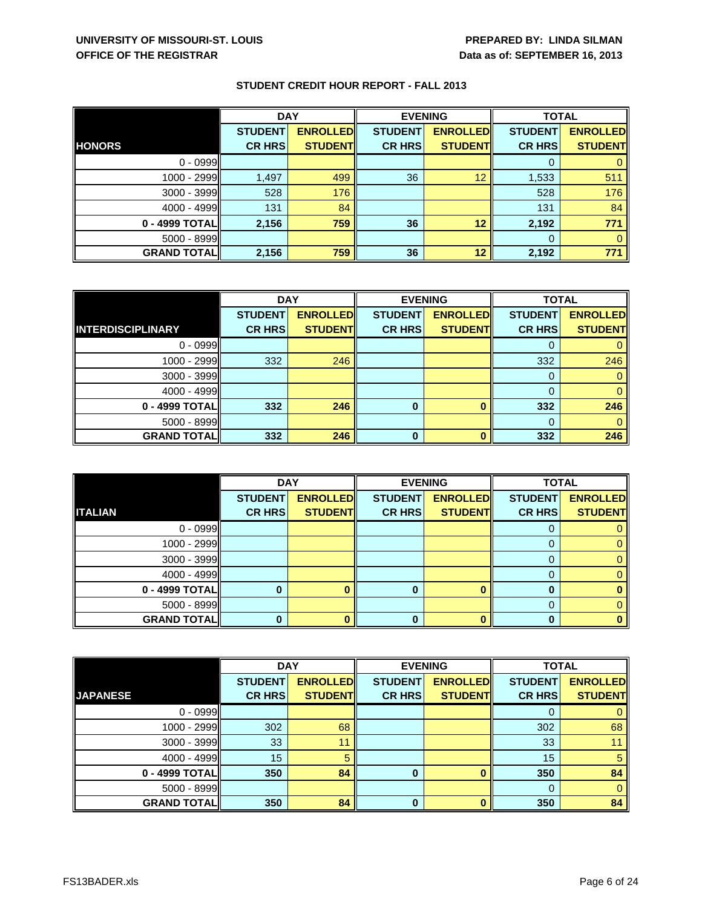|                    | <b>DAY</b>     |                  | <b>EVENING</b> |                 | <b>TOTAL</b>   |                 |
|--------------------|----------------|------------------|----------------|-----------------|----------------|-----------------|
|                    | <b>STUDENT</b> | <b>ENROLLEDI</b> | <b>STUDENT</b> | <b>ENROLLED</b> | <b>STUDENT</b> | <b>ENROLLED</b> |
| <b>HONORS</b>      | <b>CR HRS</b>  | <b>STUDENT</b>   | <b>CR HRS</b>  | <b>STUDENT</b>  | <b>CR HRS</b>  | <b>STUDENT</b>  |
| $0 - 0999$         |                |                  |                |                 | 0              |                 |
| 1000 - 2999        | 1,497          | 499              | 36             | 12              | 1,533          | 511             |
| 3000 - 3999        | 528            | 176              |                |                 | 528            | 176             |
| $4000 - 4999$      | 131            | 84               |                |                 | 131            | 84              |
| 0 - 4999 TOTALI    | 2,156          | 759              | 36             | 12              | 2,192          | 771             |
| 5000 - 8999        |                |                  |                |                 | $\Omega$       | 0               |
| <b>GRAND TOTAL</b> | 2,156          | 759              | 36             | 12              | 2,192          | 771             |

|                          | <b>DAY</b>     |                 | <b>EVENING</b> |                 | <b>TOTAL</b>   |                 |
|--------------------------|----------------|-----------------|----------------|-----------------|----------------|-----------------|
|                          | <b>STUDENT</b> | <b>ENROLLED</b> | <b>STUDENT</b> | <b>ENROLLED</b> | <b>STUDENT</b> | <b>ENROLLED</b> |
| <b>INTERDISCIPLINARY</b> | <b>CR HRS</b>  | <b>STUDENT</b>  | <b>CR HRS</b>  | <b>STUDENT</b>  | <b>CR HRS</b>  | <b>STUDENT</b>  |
| $0 - 0999$               |                |                 |                |                 |                |                 |
| $1000 - 2999$            | 332            | 246             |                |                 | 332            | 246             |
| $3000 - 3999$            |                |                 |                |                 |                |                 |
| $4000 - 4999$            |                |                 |                |                 |                |                 |
| 0 - 4999 TOTAL           | 332            | 246             | 0              |                 | 332            | 246             |
| $5000 - 8999$            |                |                 |                |                 |                |                 |
| <b>GRAND TOTAL</b>       | 332            | 246             | $\bf{0}$       |                 | 332            | 246             |

|                    | <b>DAY</b>     |                 | <b>EVENING</b> |                 | <b>TOTAL</b>   |                 |
|--------------------|----------------|-----------------|----------------|-----------------|----------------|-----------------|
|                    | <b>STUDENT</b> | <b>ENROLLED</b> | <b>STUDENT</b> | <b>ENROLLED</b> | <b>STUDENT</b> | <b>ENROLLED</b> |
| <b>ITALIAN</b>     | <b>CR HRS</b>  | <b>STUDENT</b>  | <b>CR HRS</b>  | <b>STUDENT</b>  | <b>CR HRS</b>  | <b>STUDENT</b>  |
| $0 - 0999$         |                |                 |                |                 | U              |                 |
| 1000 - 2999        |                |                 |                |                 | 0              |                 |
| $3000 - 3999$      |                |                 |                |                 | 0              |                 |
| $4000 - 4999$      |                |                 |                |                 | 0              |                 |
| 0 - 4999 TOTAL     |                |                 | O              |                 | 0              |                 |
| $5000 - 8999$      |                |                 |                |                 | 0              |                 |
| <b>GRAND TOTAL</b> |                |                 |                |                 | O              |                 |

|                    | <b>DAY</b>     |                 | <b>EVENING</b> |                 | <b>TOTAL</b>   |                 |
|--------------------|----------------|-----------------|----------------|-----------------|----------------|-----------------|
|                    | <b>STUDENT</b> | <b>ENROLLED</b> | <b>STUDENT</b> | <b>ENROLLED</b> | <b>STUDENT</b> | <b>ENROLLED</b> |
| <b>JAPANESE</b>    | <b>CR HRS</b>  | <b>STUDENT</b>  | <b>CR HRS</b>  | <b>STUDENT</b>  | <b>CR HRS</b>  | <b>STUDENT</b>  |
| $0 - 0999$         |                |                 |                |                 | O              |                 |
| 1000 - 2999        | 302            | 68              |                |                 | 302            | 68              |
| 3000 - 3999        | 33             | 11              |                |                 | 33             | 11              |
| $4000 - 4999$      | 15             | 5               |                |                 | 15             | 5               |
| 0 - 4999 TOTAL     | 350            | 84              |                |                 | 350            | 84              |
| 5000 - 8999        |                |                 |                |                 | $\Omega$       | $\Omega$        |
| <b>GRAND TOTAL</b> | 350            | 84              | 0              |                 | 350            | 84              |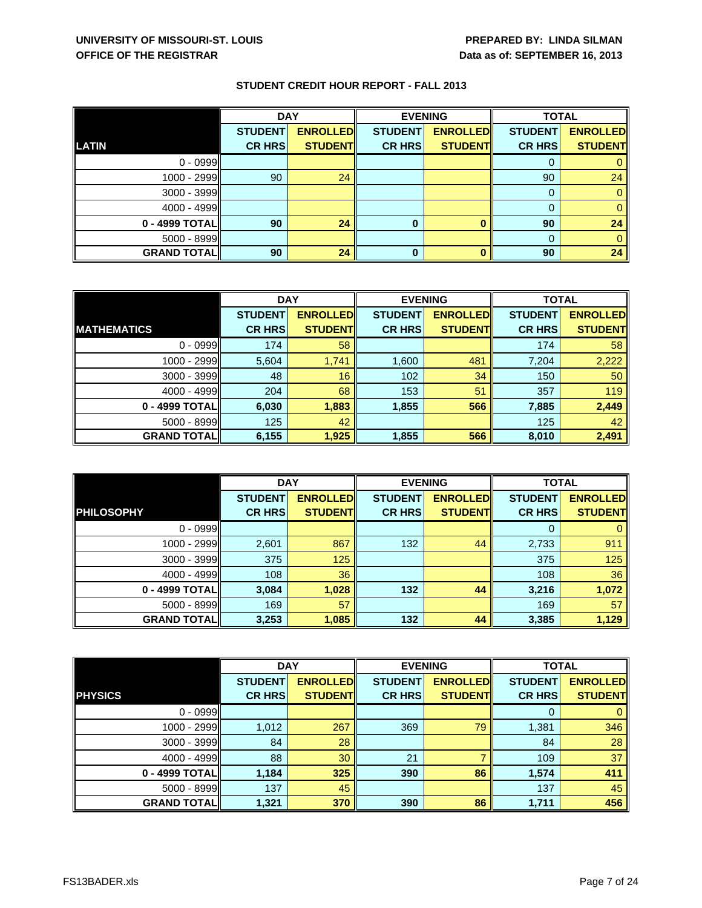|                    | <b>DAY</b>     |                 | <b>EVENING</b> |                 | <b>TOTAL</b>   |                 |
|--------------------|----------------|-----------------|----------------|-----------------|----------------|-----------------|
|                    | <b>STUDENT</b> | <b>ENROLLED</b> | <b>STUDENT</b> | <b>ENROLLED</b> | <b>STUDENT</b> | <b>ENROLLED</b> |
| <b>LATIN</b>       | <b>CR HRS</b>  | <b>STUDENT</b>  | <b>CR HRS</b>  | <b>STUDENT</b>  | <b>CR HRS</b>  | <b>STUDENT</b>  |
| $0 - 0999$         |                |                 |                |                 |                |                 |
| 1000 - 2999        | 90             | 24              |                |                 | 90             | 24              |
| 3000 - 3999        |                |                 |                |                 |                |                 |
| 4000 - 4999        |                |                 |                |                 |                |                 |
| 0 - 4999 TOTAL     | 90             | 24              | $\bf{0}$       |                 | 90             | 24              |
| 5000 - 8999        |                |                 |                |                 |                |                 |
| <b>GRAND TOTAL</b> | 90             | 24              | 0              |                 | 90             | 24              |

|                    | <b>DAY</b>     |                 | <b>EVENING</b> |                 | <b>TOTAL</b>   |                 |
|--------------------|----------------|-----------------|----------------|-----------------|----------------|-----------------|
|                    | <b>STUDENT</b> | <b>ENROLLED</b> | <b>STUDENT</b> | <b>ENROLLED</b> | <b>STUDENT</b> | <b>ENROLLED</b> |
| <b>MATHEMATICS</b> | <b>CR HRS</b>  | <b>STUDENT</b>  | <b>CR HRS</b>  | <b>STUDENT</b>  | <b>CR HRS</b>  | <b>STUDENT</b>  |
| $0 - 0999$         | 174            | 58              |                |                 | 174            | 58              |
| $1000 - 2999$      | 5,604          | 1,741           | 1,600          | 481             | 7,204          | 2,222           |
| $3000 - 3999$      | 48             | 16              | 102            | 34              | 150            | 50              |
| $4000 - 4999$      | 204            | 68              | 153            | 51              | 357            | 119             |
| 0 - 4999 TOTAL     | 6,030          | 1,883           | 1,855          | 566             | 7,885          | 2,449           |
| $5000 - 8999$      | 125            | 42              |                |                 | 125            | 42              |
| <b>GRAND TOTAL</b> | 6,155          | 1,925           | 1,855          | 566             | 8,010          | 2,491           |

|                    | <b>DAY</b>     |                 | <b>EVENING</b> |                 | <b>TOTAL</b>   |                 |
|--------------------|----------------|-----------------|----------------|-----------------|----------------|-----------------|
|                    | <b>STUDENT</b> | <b>ENROLLED</b> | <b>STUDENT</b> | <b>ENROLLED</b> | <b>STUDENT</b> | <b>ENROLLED</b> |
| <b>PHILOSOPHY</b>  | <b>CR HRS</b>  | <b>STUDENT</b>  | <b>CR HRS</b>  | <b>STUDENT</b>  | <b>CR HRS</b>  | <b>STUDENT</b>  |
| $0 - 0999$         |                |                 |                |                 |                |                 |
| $1000 - 2999$      | 2,601          | 867             | 132            | 44              | 2,733          | 911             |
| $3000 - 3999$      | 375            | 125             |                |                 | 375            | 125             |
| $4000 - 4999$      | 108            | 36              |                |                 | 108            | 36              |
| 0 - 4999 TOTAL     | 3,084          | 1,028           | 132            | 44              | 3,216          | 1,072           |
| $5000 - 8999$      | 169            | 57              |                |                 | 169            | 57              |
| <b>GRAND TOTAL</b> | 3,253          | 1,085           | 132            | 44              | 3,385          | 1,129           |

|                    | <b>DAY</b>     |                 | <b>EVENING</b> |                 | <b>TOTAL</b>   |                 |
|--------------------|----------------|-----------------|----------------|-----------------|----------------|-----------------|
|                    | <b>STUDENT</b> | <b>ENROLLED</b> | <b>STUDENT</b> | <b>ENROLLED</b> | <b>STUDENT</b> | <b>ENROLLED</b> |
| <b>PHYSICS</b>     | <b>CR HRS</b>  | <b>STUDENT</b>  | <b>CR HRS</b>  | <b>STUDENT</b>  | <b>CR HRS</b>  | <b>STUDENT</b>  |
| $0 - 0999$         |                |                 |                |                 |                |                 |
| 1000 - 2999        | 1,012          | 267             | 369            | 79              | 1,381          | 346             |
| $3000 - 3999$      | 84             | 28              |                |                 | 84             | 28              |
| $4000 - 4999$      | 88             | 30              | 21             |                 | 109            | 37              |
| 0 - 4999 TOTAL     | 1,184          | 325             | 390            | 86              | 1,574          | 411             |
| 5000 - 8999        | 137            | 45              |                |                 | 137            | 45              |
| <b>GRAND TOTAL</b> | 1,321          | 370             | 390            | 86              | 1,711          | 456             |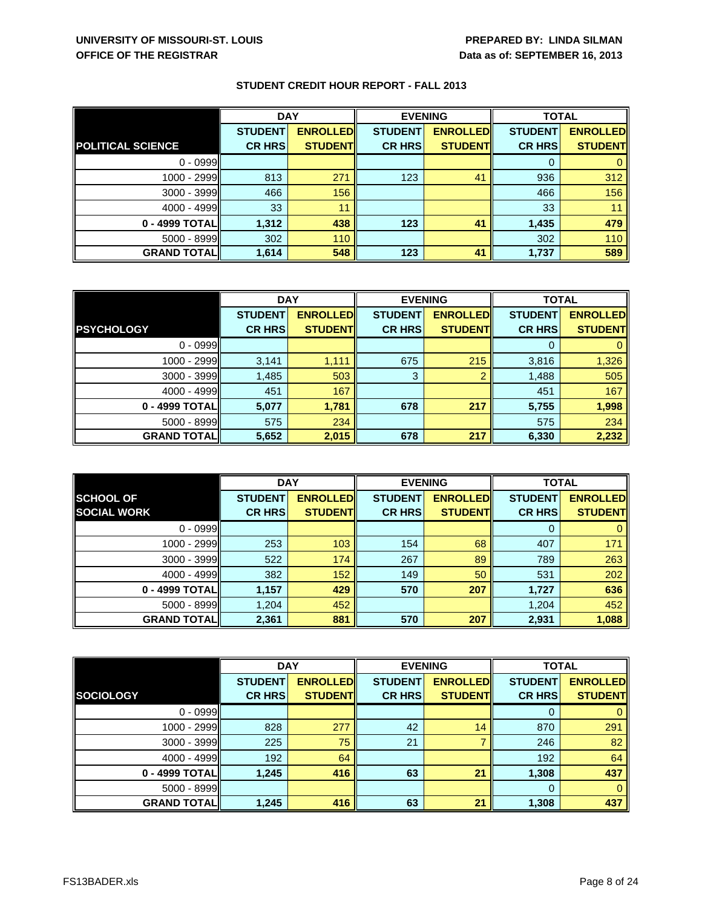|  |  |  |  | <b>STUDENT CREDIT HOUR REPORT - FALL 2013</b> |
|--|--|--|--|-----------------------------------------------|
|--|--|--|--|-----------------------------------------------|

|                          | <b>DAY</b>     |                 | <b>EVENING</b> |                 | <b>TOTAL</b>   |                 |
|--------------------------|----------------|-----------------|----------------|-----------------|----------------|-----------------|
|                          | <b>STUDENT</b> | <b>ENROLLED</b> | <b>STUDENT</b> | <b>ENROLLED</b> | <b>STUDENT</b> | <b>ENROLLED</b> |
| <b>POLITICAL SCIENCE</b> | <b>CR HRS</b>  | <b>STUDENT</b>  | <b>CR HRS</b>  | <b>STUDENT</b>  | <b>CR HRS</b>  | <b>STUDENT</b>  |
| $0 - 0999$               |                |                 |                |                 | 0              |                 |
| 1000 - 2999              | 813            | 271             | 123            | 41              | 936            | 312             |
| $3000 - 3999$            | 466            | 156             |                |                 | 466            | 156             |
| $4000 - 4999$            | 33             | 11              |                |                 | 33             | 11              |
| 0 - 4999 TOTAL           | 1,312          | 438             | 123            | 41              | 1,435          | 479             |
| 5000 - 8999              | 302            | 110             |                |                 | 302            | 110             |
| <b>GRAND TOTAL</b>       | 1,614          | 548             | 123            | 41              | 1,737          | 589             |

|                    | <b>DAY</b>     |                 | <b>EVENING</b> |                 | <b>TOTAL</b>   |                 |
|--------------------|----------------|-----------------|----------------|-----------------|----------------|-----------------|
|                    | <b>STUDENT</b> | <b>ENROLLED</b> | <b>STUDENT</b> | <b>ENROLLED</b> | <b>STUDENT</b> | <b>ENROLLED</b> |
| <b>PSYCHOLOGY</b>  | <b>CR HRS</b>  | <b>STUDENT</b>  | <b>CR HRS</b>  | <b>STUDENT</b>  | <b>CR HRS</b>  | <b>STUDENT</b>  |
| $0 - 0999$         |                |                 |                |                 |                |                 |
| 1000 - 2999        | 3,141          | 1,111           | 675            | 215             | 3,816          | 1,326           |
| $3000 - 3999$      | 1,485          | 503             | 3              | っ               | 1,488          | 505             |
| 4000 - 4999        | 451            | 167             |                |                 | 451            | 167             |
| 0 - 4999 TOTAL     | 5,077          | 1,781           | 678            | 217             | 5,755          | 1,998           |
| $5000 - 8999$      | 575            | 234             |                |                 | 575            | 234             |
| <b>GRAND TOTAL</b> | 5,652          | 2,015           | 678            | 217             | 6,330          | 2,232           |

|                    | <b>DAY</b>     |                 | <b>EVENING</b> |                 | <b>TOTAL</b>   |                 |
|--------------------|----------------|-----------------|----------------|-----------------|----------------|-----------------|
| <b>SCHOOL OF</b>   | <b>STUDENT</b> | <b>ENROLLED</b> | <b>STUDENT</b> | <b>ENROLLED</b> | <b>STUDENT</b> | <b>ENROLLED</b> |
| <b>SOCIAL WORK</b> | <b>CR HRS</b>  | <b>STUDENT</b>  | <b>CR HRS</b>  | <b>STUDENT</b>  | <b>CR HRS</b>  | <b>STUDENT</b>  |
| $0 - 0999$         |                |                 |                |                 |                |                 |
| $1000 - 2999$      | 253            | 103             | 154            | 68              | 407            | 171             |
| $3000 - 3999$      | 522            | 174             | 267            | 89              | 789            | 263             |
| $4000 - 4999$      | 382            | 152             | 149            | 50              | 531            | 202             |
| 0 - 4999 TOTAL     | 1,157          | 429             | 570            | 207             | 1,727          | 636             |
| $5000 - 8999$      | 1,204          | 452             |                |                 | 1,204          | 452             |
| <b>GRAND TOTAL</b> | 2,361          | 881             | 570            | 207             | 2,931          | 1,088           |

|                    | <b>DAY</b>     |                  | <b>EVENING</b> |                 | <b>TOTAL</b>   |                 |
|--------------------|----------------|------------------|----------------|-----------------|----------------|-----------------|
|                    | <b>STUDENT</b> | <b>ENROLLEDI</b> | <b>STUDENT</b> | <b>ENROLLED</b> | <b>STUDENT</b> | <b>ENROLLED</b> |
| <b>SOCIOLOGY</b>   | <b>CR HRS</b>  | <b>STUDENTI</b>  | <b>CR HRS</b>  | <b>STUDENT</b>  | <b>CR HRS</b>  | <b>STUDENT</b>  |
| $0 - 0999$         |                |                  |                |                 |                |                 |
| 1000 - 2999        | 828            | 277              | 42             | 14              | 870            | 291             |
| 3000 - 3999        | 225            | 75               | 21             |                 | 246            | 82              |
| $4000 - 4999$      | 192            | 64               |                |                 | 192            | 64              |
| 0 - 4999 TOTAL     | 1,245          | 416              | 63             | 21              | 1,308          | 437             |
| 5000 - 8999        |                |                  |                |                 | $\Omega$       |                 |
| <b>GRAND TOTAL</b> | 1,245          | 416              | 63             | 21              | 1,308          | 437             |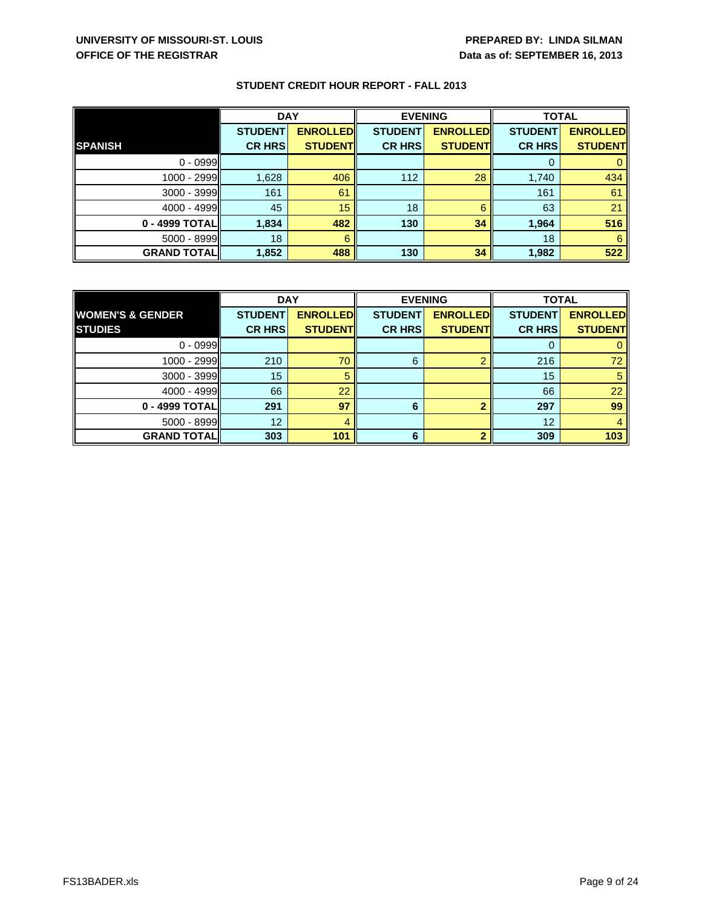# **UNIVERSITY OF MISSOURI-ST. LOUIS PREPARED BY: LINDA SILMAN OFFICE OF THE REGISTRAR DATA BY A CONSTRAR <b>D**ata as of: SEPTEMBER 16, 2013

|                    | <b>DAY</b>     |                 | <b>EVENING</b> |                 | <b>TOTAL</b>   |                 |
|--------------------|----------------|-----------------|----------------|-----------------|----------------|-----------------|
|                    | <b>STUDENT</b> | <b>ENROLLED</b> | <b>STUDENT</b> | <b>ENROLLED</b> | <b>STUDENT</b> | <b>ENROLLED</b> |
| <b>SPANISH</b>     | <b>CR HRS</b>  | <b>STUDENT</b>  | <b>CR HRS</b>  | <b>STUDENT</b>  | <b>CR HRS</b>  | <b>STUDENT</b>  |
| $0 - 0999$         |                |                 |                |                 | 0              |                 |
| 1000 - 2999        | 1,628          | 406             | 112            | 28              | 1,740          | 434             |
| 3000 - 3999        | 161            | 61              |                |                 | 161            | 61              |
| $4000 - 4999$      | 45             | 15              | 18             | 6               | 63             | 21              |
| 0 - 4999 TOTALI    | 1.834          | 482             | 130            | 34              | 1,964          | 516             |
| 5000 - 8999        | 18             | 6               |                |                 | 18             | 6               |
| <b>GRAND TOTAL</b> | 1,852          | 488             | 130            | 34              | 1,982          | 522             |

|                             | <b>DAY</b>     |                 | <b>EVENING</b> |                 | <b>TOTAL</b>   |                 |
|-----------------------------|----------------|-----------------|----------------|-----------------|----------------|-----------------|
| <b>WOMEN'S &amp; GENDER</b> | <b>STUDENT</b> | <b>ENROLLED</b> | <b>STUDENT</b> | <b>ENROLLED</b> | <b>STUDENT</b> | <b>ENROLLED</b> |
| <b>STUDIES</b>              | <b>CR HRS</b>  | <b>STUDENT</b>  | <b>CR HRS</b>  | <b>STUDENTI</b> | <b>CR HRS</b>  | <b>STUDENT</b>  |
| $0 - 0999$                  |                |                 |                |                 |                |                 |
| $1000 - 2999$               | 210            | 70              | 6              |                 | 216            | 72              |
| $3000 - 3999$               | 15             |                 |                |                 | 15             |                 |
| 4000 - 4999                 | 66             | 22              |                |                 | 66             | 22              |
| 0 - 4999 TOTAL              | 291            | 97              | 6              |                 | 297            | 99              |
| $5000 - 8999$               | 12             |                 |                |                 | 12             |                 |
| <b>GRAND TOTAL</b>          | 303            | 101             | 6              |                 | 309            | 103             |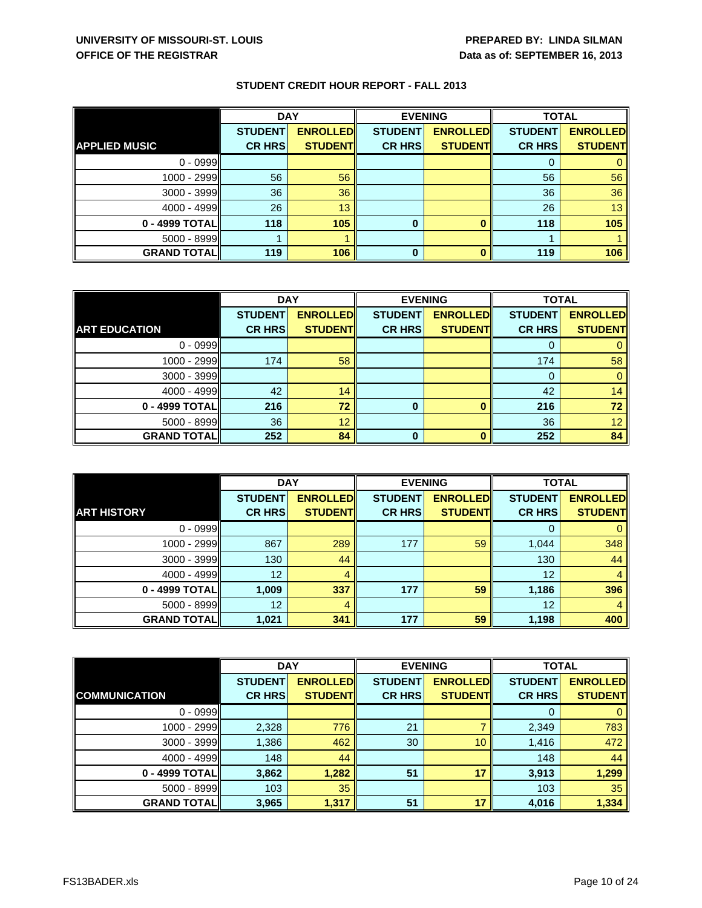|                      | <b>DAY</b>     |                 | <b>EVENING</b> |                 | <b>TOTAL</b>   |                 |
|----------------------|----------------|-----------------|----------------|-----------------|----------------|-----------------|
|                      | <b>STUDENT</b> | <b>ENROLLED</b> | <b>STUDENT</b> | <b>ENROLLED</b> | <b>STUDENT</b> | <b>ENROLLED</b> |
| <b>APPLIED MUSIC</b> | <b>CR HRS</b>  | <b>STUDENT</b>  | <b>CR HRS</b>  | <b>STUDENT</b>  | <b>CR HRS</b>  | <b>STUDENT</b>  |
| $0 - 0999$           |                |                 |                |                 | O              |                 |
| $1000 - 2999$        | 56             | 56              |                |                 | 56             | 56              |
| $3000 - 3999$        | 36             | 36              |                |                 | 36             | 36              |
| $4000 - 4999$        | 26             | 13              |                |                 | 26             | 13 <sup>°</sup> |
| 0 - 4999 TOTAL       | 118            | 105             | $\bf{0}$       |                 | 118            | 105             |
| $5000 - 8999$        |                |                 |                |                 |                |                 |
| <b>GRAND TOTAL</b>   | 119            | 106             | 0              |                 | 119            | 106             |

|                      | <b>DAY</b>     |                 | <b>EVENING</b> |                 | <b>TOTAL</b>   |                 |
|----------------------|----------------|-----------------|----------------|-----------------|----------------|-----------------|
|                      | <b>STUDENT</b> | <b>ENROLLED</b> | <b>STUDENT</b> | <b>ENROLLED</b> | <b>STUDENT</b> | <b>ENROLLED</b> |
| <b>ART EDUCATION</b> | <b>CR HRS</b>  | <b>STUDENTI</b> | <b>CR HRS</b>  | <b>STUDENT</b>  | <b>CR HRS</b>  | <b>STUDENT</b>  |
| $0 - 0999$           |                |                 |                |                 |                |                 |
| 1000 - 2999          | 174            | 58              |                |                 | 174            | 58              |
| $3000 - 3999$        |                |                 |                |                 |                |                 |
| $4000 - 4999$        | 42             | 14              |                |                 | 42             | 14              |
| 0 - 4999 TOTAL       | 216            | 72              | 0              |                 | 216            | 72              |
| $5000 - 8999$        | 36             | 12              |                |                 | 36             | 12 <sup>1</sup> |
| <b>GRAND TOTALI</b>  | 252            | 84              | $\bf{0}$       |                 | 252            | 84              |

|                    | <b>DAY</b>     |                 | <b>EVENING</b> |                 | <b>TOTAL</b>   |                 |
|--------------------|----------------|-----------------|----------------|-----------------|----------------|-----------------|
|                    | <b>STUDENT</b> | <b>ENROLLED</b> | <b>STUDENT</b> | <b>ENROLLED</b> | <b>STUDENT</b> | <b>ENROLLED</b> |
| <b>ART HISTORY</b> | <b>CR HRS</b>  | <b>STUDENT</b>  | <b>CR HRS</b>  | <b>STUDENT</b>  | <b>CR HRS</b>  | <b>STUDENT</b>  |
| $0 - 0999$         |                |                 |                |                 |                |                 |
| 1000 - 2999        | 867            | 289             | 177            | 59              | 1,044          | 348             |
| $3000 - 3999$      | 130            | 44              |                |                 | 130            | 44              |
| $4000 - 4999$      | 12             |                 |                |                 | 12             |                 |
| 0 - 4999 TOTAL     | 1,009          | 337             | 177            | 59              | 1,186          | 396             |
| 5000 - 8999        | 12             |                 |                |                 | 12             |                 |
| <b>GRAND TOTAL</b> | 1,021          | 341             | 177            | 59              | 1,198          | 400             |

|                      | <b>DAY</b>     |                 | <b>EVENING</b> |                 | <b>TOTAL</b>   |                 |
|----------------------|----------------|-----------------|----------------|-----------------|----------------|-----------------|
|                      | <b>STUDENT</b> | <b>ENROLLED</b> | <b>STUDENT</b> | <b>ENROLLED</b> | <b>STUDENT</b> | <b>ENROLLED</b> |
| <b>COMMUNICATION</b> | <b>CR HRS</b>  | <b>STUDENT</b>  | <b>CR HRS</b>  | <b>STUDENT</b>  | <b>CR HRS</b>  | <b>STUDENT</b>  |
| $0 - 0999$           |                |                 |                |                 |                |                 |
| $1000 - 2999$        | 2,328          | 776             | 21             |                 | 2,349          | 783             |
| $3000 - 3999$        | 1,386          | 462             | 30             | 10              | 1,416          | 472             |
| $4000 - 4999$        | 148            | 44              |                |                 | 148            | 44              |
| 0 - 4999 TOTAL       | 3,862          | 1,282           | 51             | 17              | 3,913          | 1,299           |
| $5000 - 8999$        | 103            | 35              |                |                 | 103            | 35              |
| <b>GRAND TOTAL</b>   | 3,965          | 1,317           | 51             | 17              | 4,016          | 1,334           |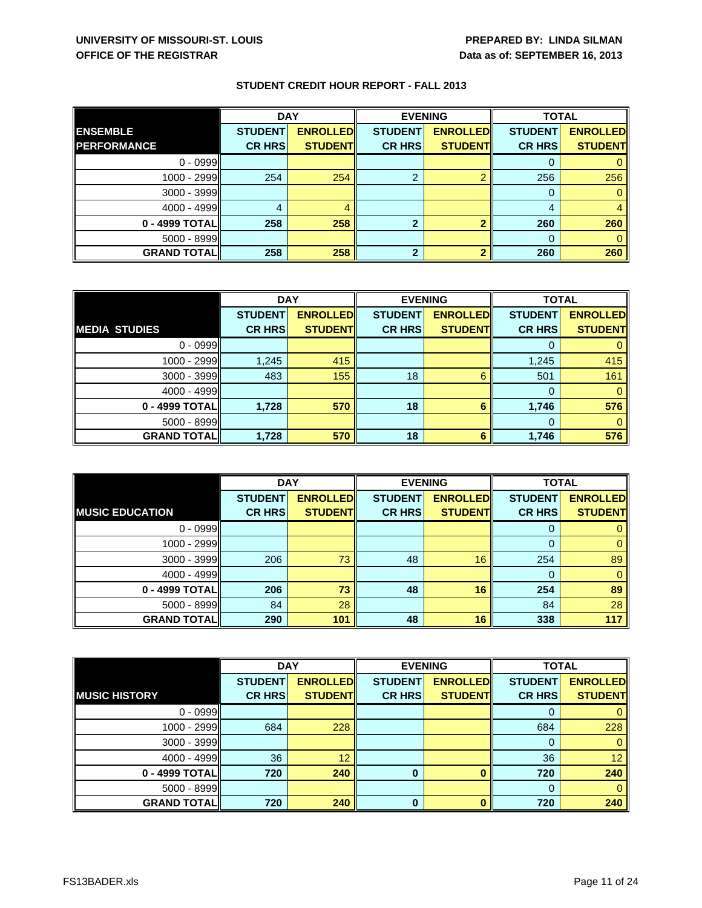|                    | <b>DAY</b>     |                 | <b>EVENING</b> |                 | <b>TOTAL</b>   |                 |
|--------------------|----------------|-----------------|----------------|-----------------|----------------|-----------------|
| <b>ENSEMBLE</b>    | <b>STUDENT</b> | <b>ENROLLED</b> | <b>STUDENT</b> | <b>ENROLLED</b> | <b>STUDENT</b> | <b>ENROLLED</b> |
| <b>PERFORMANCE</b> | <b>CR HRS</b>  | <b>STUDENT</b>  | <b>CR HRS</b>  | <b>STUDENTI</b> | <b>CR HRS</b>  | <b>STUDENT</b>  |
| $0 - 0999$         |                |                 |                |                 |                |                 |
| $1000 - 2999$      | 254            | 254             | ົ              |                 | 256            | 256             |
| 3000 - 3999        |                |                 |                |                 | 0              |                 |
| $4000 - 4999$      | 4              |                 |                |                 | 4              |                 |
| 0 - 4999 TOTAL     | 258            | 258             | ົ              |                 | 260            | 260             |
| $5000 - 8999$      |                |                 |                |                 | 0              |                 |
| <b>GRAND TOTAL</b> | 258            | 258             | າ              |                 | 260            | 260             |

|                      | <b>DAY</b>     |                 | <b>EVENING</b> |                 | <b>TOTAL</b>   |                 |
|----------------------|----------------|-----------------|----------------|-----------------|----------------|-----------------|
|                      | <b>STUDENT</b> | <b>ENROLLED</b> | <b>STUDENT</b> | <b>ENROLLED</b> | <b>STUDENT</b> | <b>ENROLLED</b> |
| <b>MEDIA STUDIES</b> | <b>CR HRS</b>  | <b>STUDENT</b>  | <b>CR HRS</b>  | <b>STUDENT</b>  | <b>CR HRS</b>  | <b>STUDENT</b>  |
| $0 - 0999$           |                |                 |                |                 |                |                 |
| 1000 - 2999          | 1,245          | 415             |                |                 | 1,245          | 415             |
| $3000 - 3999$        | 483            | 155             | 18             | 6               | 501            | 161             |
| $4000 - 4999$        |                |                 |                |                 |                |                 |
| 0 - 4999 TOTAL       | 1,728          | 570             | 18             | 6               | 1,746          | 576             |
| $5000 - 8999$        |                |                 |                |                 |                |                 |
| <b>GRAND TOTALI</b>  | 1,728          | 570             | 18             | 6               | 1,746          | 576             |

|                        | <b>DAY</b>     |                 | <b>EVENING</b> |                 | <b>TOTAL</b>   |                 |
|------------------------|----------------|-----------------|----------------|-----------------|----------------|-----------------|
|                        | <b>STUDENT</b> | <b>ENROLLED</b> | <b>STUDENT</b> | <b>ENROLLED</b> | <b>STUDENT</b> | <b>ENROLLED</b> |
| <b>MUSIC EDUCATION</b> | <b>CR HRS</b>  | <b>STUDENT</b>  | <b>CR HRS</b>  | <b>STUDENT</b>  | <b>CR HRS</b>  | <b>STUDENT</b>  |
| $0 - 0999$             |                |                 |                |                 | O              |                 |
| 1000 - 2999            |                |                 |                |                 | 0              |                 |
| $3000 - 3999$          | 206            | 73              | 48             | 16              | 254            | 89              |
| $4000 - 4999$          |                |                 |                |                 | 0              |                 |
| 0 - 4999 TOTAL         | 206            | 73              | 48             | 16              | 254            | 89              |
| $5000 - 8999$          | 84             | 28              |                |                 | 84             | 28              |
| <b>GRAND TOTAL</b>     | 290            | 101             | 48             | 16              | 338            | 117             |

|                      | <b>DAY</b>     |                  | <b>EVENING</b> |                 | <b>TOTAL</b>   |                 |
|----------------------|----------------|------------------|----------------|-----------------|----------------|-----------------|
|                      | <b>STUDENT</b> | <b>ENROLLEDI</b> | <b>STUDENT</b> | <b>ENROLLED</b> | <b>STUDENT</b> | <b>ENROLLED</b> |
| <b>MUSIC HISTORY</b> | <b>CR HRS</b>  | <b>STUDENT</b>   | <b>CR HRS</b>  | <b>STUDENT</b>  | <b>CR HRS</b>  | <b>STUDENT</b>  |
| $0 - 0999$           |                |                  |                |                 |                |                 |
| 1000 - 2999          | 684            | 228              |                |                 | 684            | 228             |
| 3000 - 3999          |                |                  |                |                 |                |                 |
| $4000 - 4999$        | 36             | 12               |                |                 | 36             | 12 <sup>1</sup> |
| 0 - 4999 TOTAL       | 720            | 240              | 0              |                 | 720            | 240             |
| 5000 - 8999          |                |                  |                |                 |                |                 |
| <b>GRAND TOTAL</b>   | 720            | 240              | 0              |                 | 720            | 240             |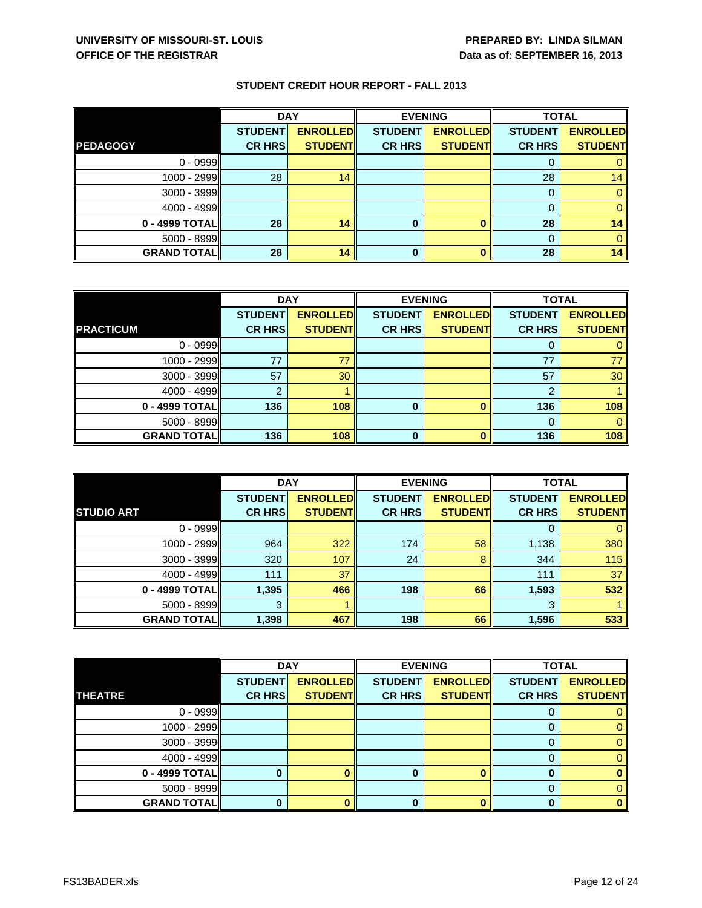|                    | <b>DAY</b>     |                 | <b>EVENING</b> |                 |                | <b>TOTAL</b>    |  |
|--------------------|----------------|-----------------|----------------|-----------------|----------------|-----------------|--|
|                    | <b>STUDENT</b> | <b>ENROLLED</b> | <b>STUDENT</b> | <b>ENROLLED</b> | <b>STUDENT</b> | <b>ENROLLED</b> |  |
| <b>PEDAGOGY</b>    | <b>CR HRS</b>  | <b>STUDENT</b>  | <b>CR HRS</b>  | <b>STUDENTI</b> | <b>CR HRS</b>  | <b>STUDENT</b>  |  |
| $0 - 0999$         |                |                 |                |                 |                |                 |  |
| $1000 - 2999$      | 28             | 14              |                |                 | 28             | 14              |  |
| $3000 - 3999$      |                |                 |                |                 |                |                 |  |
| $4000 - 4999$      |                |                 |                |                 |                |                 |  |
| 0 - 4999 TOTAL     | 28             | 14              | 0              |                 | 28             | 14              |  |
| $5000 - 8999$      |                |                 |                |                 |                |                 |  |
| <b>GRAND TOTAL</b> | 28             | 14              | 0              |                 | 28             | 14              |  |

|                    | <b>DAY</b>     |                 | <b>EVENING</b> |                 | <b>TOTAL</b>   |                 |
|--------------------|----------------|-----------------|----------------|-----------------|----------------|-----------------|
|                    | <b>STUDENT</b> | <b>ENROLLED</b> | <b>STUDENT</b> | <b>ENROLLED</b> | <b>STUDENT</b> | <b>ENROLLED</b> |
| <b>PRACTICUM</b>   | <b>CR HRS</b>  | <b>STUDENT</b>  | <b>CR HRS</b>  | <b>STUDENT</b>  | <b>CR HRS</b>  | <b>STUDENT</b>  |
| $0 - 0999$         |                |                 |                |                 |                |                 |
| 1000 - 2999        | 77             | 77              |                |                 | 77             |                 |
| $3000 - 3999$      | 57             | 30              |                |                 | 57             | 30              |
| 4000 - 4999        | ົ              |                 |                |                 | ົ              |                 |
| 0 - 4999 TOTAL     | 136            | 108             | 0              |                 | 136            | 108             |
| $5000 - 8999$      |                |                 |                |                 | 0              |                 |
| <b>GRAND TOTAL</b> | 136            | 108             | 0              |                 | 136            | 108             |

|                    | <b>DAY</b>     |                 |                | <b>EVENING</b>  |                | <b>TOTAL</b>    |  |
|--------------------|----------------|-----------------|----------------|-----------------|----------------|-----------------|--|
|                    | <b>STUDENT</b> | <b>ENROLLED</b> | <b>STUDENT</b> | <b>ENROLLED</b> | <b>STUDENT</b> | <b>ENROLLED</b> |  |
| <b>STUDIO ART</b>  | <b>CR HRS</b>  | <b>STUDENT</b>  | <b>CR HRS</b>  | <b>STUDENT</b>  | <b>CR HRS</b>  | <b>STUDENT</b>  |  |
| $0 - 0999$         |                |                 |                |                 |                |                 |  |
| 1000 - 2999        | 964            | 322             | 174            | 58              | 1,138          | 380             |  |
| 3000 - 3999        | 320            | 107             | 24             | 8               | 344            | 115             |  |
| $4000 - 4999$      | 111            | 37              |                |                 | 111            | 37              |  |
| 0 - 4999 TOTAL     | 1,395          | 466             | 198            | 66              | 1,593          | 532             |  |
| $5000 - 8999$      | 3              |                 |                |                 | 3              |                 |  |
| <b>GRAND TOTAL</b> | 1,398          | 467             | 198            | 66              | 1,596          | 533             |  |

|                    | <b>DAY</b>     |                 | <b>EVENING</b> |                 | <b>TOTAL</b>   |                 |
|--------------------|----------------|-----------------|----------------|-----------------|----------------|-----------------|
|                    | <b>STUDENT</b> | <b>ENROLLED</b> | <b>STUDENT</b> | <b>ENROLLED</b> | <b>STUDENT</b> | <b>ENROLLED</b> |
| <b>THEATRE</b>     | <b>CR HRS</b>  | <b>STUDENT</b>  | <b>CR HRS</b>  | <b>STUDENT</b>  | <b>CR HRS</b>  | <b>STUDENT</b>  |
| $0 - 0999$         |                |                 |                |                 |                |                 |
| $1000 - 2999$      |                |                 |                |                 |                |                 |
| $3000 - 3999$      |                |                 |                |                 |                |                 |
| 4000 - 4999        |                |                 |                |                 |                |                 |
| 0 - 4999 TOTAL     |                |                 | O              |                 |                |                 |
| 5000 - 8999        |                |                 |                |                 |                |                 |
| <b>GRAND TOTAL</b> |                |                 | 0              |                 | 0              |                 |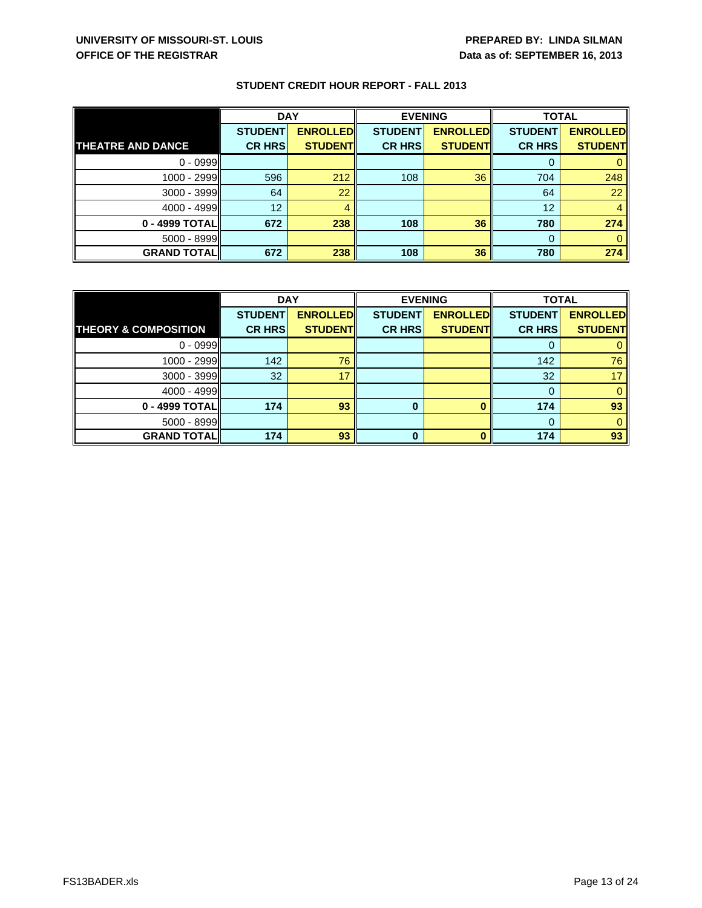|                          | <b>DAY</b>     |                 | <b>EVENING</b> |                 | <b>TOTAL</b>   |                 |
|--------------------------|----------------|-----------------|----------------|-----------------|----------------|-----------------|
|                          | <b>STUDENT</b> | <b>ENROLLED</b> | <b>STUDENT</b> | <b>ENROLLED</b> | <b>STUDENT</b> | <b>ENROLLED</b> |
| <b>THEATRE AND DANCE</b> | <b>CR HRS</b>  | <b>STUDENT</b>  | <b>CR HRS</b>  | <b>STUDENT</b>  | <b>CR HRS</b>  | <b>STUDENT</b>  |
| $0 - 0999$               |                |                 |                |                 | O              |                 |
| $1000 - 2999$            | 596            | 212             | 108            | 36              | 704            | 248             |
| 3000 - 3999              | 64             | 22              |                |                 | 64             | 22              |
| $4000 - 4999$            | 12             |                 |                |                 | 12             | 4               |
| 0 - 4999 TOTAL           | 672            | 238             | 108            | 36              | 780            | 274             |
| 5000 - 8999              |                |                 |                |                 | 0              |                 |
| <b>GRAND TOTAL</b>       | 672            | 238             | 108            | 36              | 780            | 274             |

|                                 | <b>DAY</b>     |                 | <b>EVENING</b> |                 | <b>TOTAL</b>   |                 |
|---------------------------------|----------------|-----------------|----------------|-----------------|----------------|-----------------|
|                                 | <b>STUDENT</b> | <b>ENROLLED</b> | <b>STUDENT</b> | <b>ENROLLED</b> | <b>STUDENT</b> | <b>ENROLLED</b> |
| <b>THEORY &amp; COMPOSITION</b> | <b>CR HRS</b>  | <b>STUDENT</b>  | <b>CR HRS</b>  | <b>STUDENTI</b> | <b>CR HRS</b>  | <b>STUDENT</b>  |
| $0 - 0999$                      |                |                 |                |                 |                |                 |
| $1000 - 2999$                   | 142            | 76              |                |                 | 142            | 76              |
| $3000 - 3999$                   | 32             | 17              |                |                 | 32             |                 |
| 4000 - 4999                     |                |                 |                |                 |                |                 |
| 0 - 4999 TOTAL                  | 174            | 93              | 0              |                 | 174            | 93              |
| $5000 - 8999$                   |                |                 |                |                 |                |                 |
| <b>GRAND TOTAL</b>              | 174            | 93              | $\bf{0}$       |                 | 174            | 93              |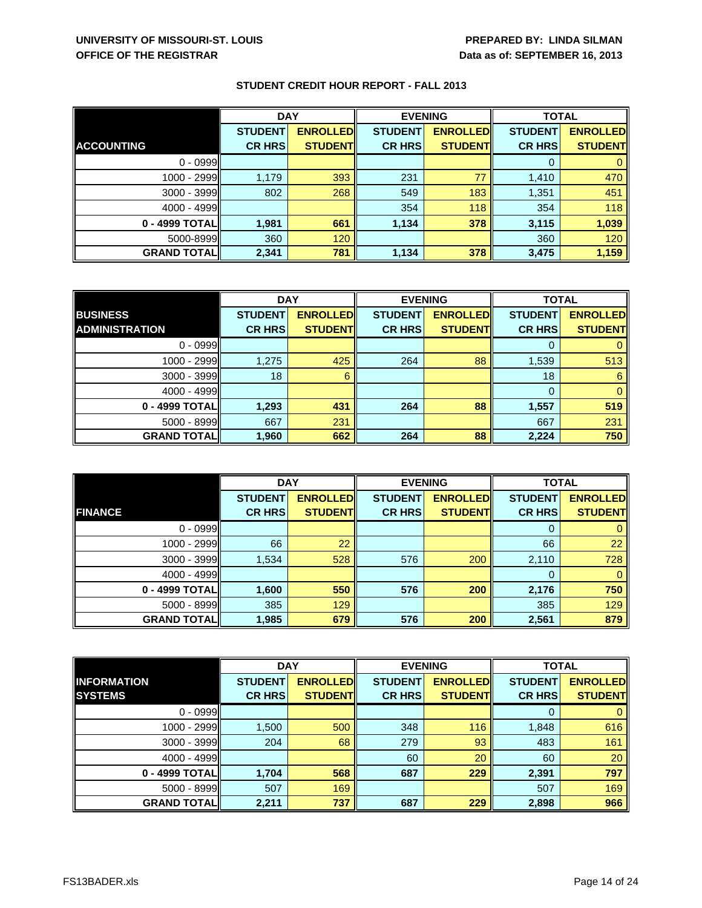| <b>STUDENT CREDIT HOUR REPORT - FALL 2013</b> |
|-----------------------------------------------|
|-----------------------------------------------|

|                     | <b>DAY</b>     |                 | <b>EVENING</b> |                 | <b>TOTAL</b>   |                 |
|---------------------|----------------|-----------------|----------------|-----------------|----------------|-----------------|
|                     | <b>STUDENT</b> | <b>ENROLLED</b> | <b>STUDENT</b> | <b>ENROLLED</b> | <b>STUDENT</b> | <b>ENROLLED</b> |
| <b>ACCOUNTING</b>   | <b>CR HRS</b>  | <b>STUDENTI</b> | <b>CR HRS</b>  | <b>STUDENTI</b> | <b>CR HRS</b>  | <b>STUDENTI</b> |
| $0 - 0999$          |                |                 |                |                 | 0              |                 |
| 1000 - 2999         | 1,179          | 393             | 231            | 77              | 1,410          | 470             |
| 3000 - 3999         | 802            | 268             | 549            | 183             | 1,351          | 451             |
| $4000 - 4999$       |                |                 | 354            | 118             | 354            | 118             |
| 0 - 4999 TOTALI     | 1,981          | 661             | 1,134          | 378             | 3,115          | 1,039           |
| 5000-8999           | 360            | 120             |                |                 | 360            | 120             |
| <b>GRAND TOTALI</b> | 2,341          | 781             | 1,134          | 378             | 3,475          | 1,159           |

|                       | <b>DAY</b>     |                 | <b>EVENING</b> |                 | <b>TOTAL</b>   |                 |
|-----------------------|----------------|-----------------|----------------|-----------------|----------------|-----------------|
| <b>BUSINESS</b>       | <b>STUDENT</b> | <b>ENROLLED</b> | <b>STUDENT</b> | <b>ENROLLED</b> | <b>STUDENT</b> | <b>ENROLLED</b> |
| <b>ADMINISTRATION</b> | <b>CR HRS</b>  | <b>STUDENT</b>  | <b>CR HRS</b>  | <b>STUDENT</b>  | <b>CR HRS</b>  | <b>STUDENT</b>  |
| $0 - 0999$            |                |                 |                |                 |                |                 |
| 1000 - 2999           | 1,275          | 425             | 264            | 88              | 1,539          | 513             |
| $3000 - 3999$         | 18             |                 |                |                 | 18             |                 |
| $4000 - 4999$         |                |                 |                |                 |                |                 |
| 0 - 4999 TOTAL        | 1,293          | 431             | 264            | 88              | 1,557          | 519             |
| $5000 - 8999$         | 667            | 231             |                |                 | 667            | 231             |
| <b>GRAND TOTAL</b>    | 1,960          | 662             | 264            | 88              | 2,224          | 750             |

|                    | <b>DAY</b>     |                 | <b>EVENING</b> |                 | <b>TOTAL</b>   |                 |
|--------------------|----------------|-----------------|----------------|-----------------|----------------|-----------------|
|                    | <b>STUDENT</b> | <b>ENROLLED</b> | <b>STUDENT</b> | <b>ENROLLED</b> | <b>STUDENT</b> | <b>ENROLLED</b> |
| <b>FINANCE</b>     | <b>CR HRS</b>  | <b>STUDENT</b>  | <b>CR HRS</b>  | <b>STUDENT</b>  | <b>CR HRS</b>  | <b>STUDENT</b>  |
| $0 - 0999$         |                |                 |                |                 | 0              |                 |
| 1000 - 2999        | 66             | 22              |                |                 | 66             | 22              |
| $3000 - 3999$      | 1,534          | 528             | 576            | 200             | 2,110          | 728             |
| $4000 - 4999$      |                |                 |                |                 | 0              |                 |
| 0 - 4999 TOTAL     | 1,600          | 550             | 576            | 200             | 2,176          | 750             |
| $5000 - 8999$      | 385            | 129             |                |                 | 385            | 129             |
| <b>GRAND TOTAL</b> | 1,985          | 679             | 576            | 200             | 2,561          | 879             |

|                    | <b>DAY</b>     |                 | <b>EVENING</b> |                 | <b>TOTAL</b>   |                 |
|--------------------|----------------|-----------------|----------------|-----------------|----------------|-----------------|
| <b>INFORMATION</b> | <b>STUDENT</b> | <b>ENROLLED</b> | <b>STUDENT</b> | <b>ENROLLED</b> | <b>STUDENT</b> | <b>ENROLLED</b> |
| <b>SYSTEMS</b>     | <b>CR HRS</b>  | <b>STUDENT</b>  | <b>CR HRS</b>  | <b>STUDENT</b>  | <b>CR HRS</b>  | <b>STUDENT</b>  |
| $0 - 0999$         |                |                 |                |                 | 0              |                 |
| 1000 - 2999        | 1,500          | 500             | 348            | 116             | 1,848          | 616             |
| $3000 - 3999$      | 204            | 68              | 279            | 93              | 483            | 161             |
| $4000 - 4999$      |                |                 | 60             | 20              | 60             | 20              |
| 0 - 4999 TOTAL     | 1,704          | 568             | 687            | 229             | 2,391          | 797             |
| 5000 - 8999        | 507            | 169             |                |                 | 507            | 169             |
| <b>GRAND TOTAL</b> | 2,211          | 737             | 687            | 229             | 2,898          | 966             |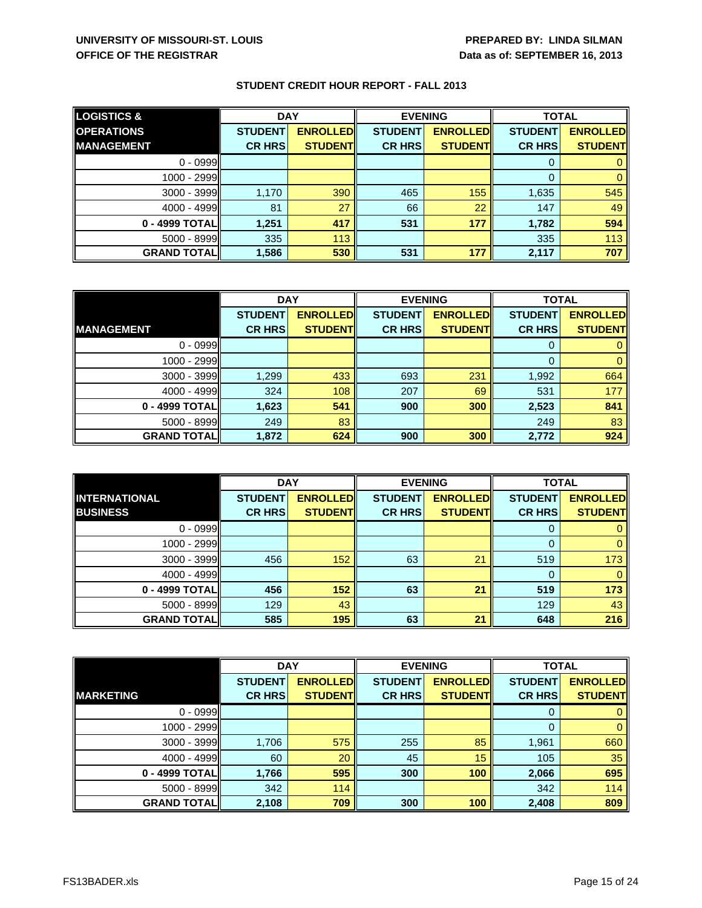| <b>LOGISTICS &amp;</b> | <b>DAY</b>     |                 | <b>EVENING</b> |                 | <b>TOTAL</b>   |                 |
|------------------------|----------------|-----------------|----------------|-----------------|----------------|-----------------|
| <b>OPERATIONS</b>      | <b>STUDENT</b> | <b>ENROLLED</b> | <b>STUDENT</b> | <b>ENROLLED</b> | <b>STUDENT</b> | <b>ENROLLED</b> |
| <b>IMANAGEMENT</b>     | <b>CR HRS</b>  | <b>STUDENTI</b> | <b>CR HRS</b>  | <b>STUDENTI</b> | <b>CR HRS</b>  | <b>STUDENT</b>  |
| $0 - 0999$             |                |                 |                |                 | 0              |                 |
| 1000 - 2999            |                |                 |                |                 | 0              |                 |
| $3000 - 3999$          | 1,170          | 390             | 465            | 155             | 1,635          | 545             |
| $4000 - 4999$          | 81             | 27              | 66             | 22              | 147            | 49              |
| 0 - 4999 TOTAL         | 1,251          | 417             | 531            | 177             | 1,782          | 594             |
| $5000 - 8999$          | 335            | 113             |                |                 | 335            | 113             |
| <b>GRAND TOTAL</b>     | 1,586          | 530             | 531            | 177             | 2,117          | 707             |

|                    | <b>DAY</b>     |                 | <b>EVENING</b> |                 | <b>TOTAL</b>   |                 |
|--------------------|----------------|-----------------|----------------|-----------------|----------------|-----------------|
|                    | <b>STUDENT</b> | <b>ENROLLED</b> | <b>STUDENT</b> | <b>ENROLLED</b> | <b>STUDENT</b> | <b>ENROLLED</b> |
| <b>IMANAGEMENT</b> | <b>CR HRS</b>  | <b>STUDENT</b>  | <b>CR HRS</b>  | <b>STUDENT</b>  | <b>CR HRS</b>  | <b>STUDENT</b>  |
| $0 - 0999$         |                |                 |                |                 |                |                 |
| 1000 - 2999        |                |                 |                |                 |                |                 |
| $3000 - 3999$      | 1,299          | 433             | 693            | 231             | 1,992          | 664             |
| 4000 - 4999        | 324            | 108             | 207            | 69              | 531            | 177             |
| 0 - 4999 TOTAL     | 1,623          | 541             | 900            | 300             | 2,523          | 841             |
| 5000 - 8999        | 249            | 83              |                |                 | 249            | 83              |
| <b>GRAND TOTAL</b> | 1,872          | 624             | 900            | 300             | 2,772          | 924             |

|                      | <b>DAY</b>     |                 | <b>EVENING</b> |                 | <b>TOTAL</b>   |                 |
|----------------------|----------------|-----------------|----------------|-----------------|----------------|-----------------|
| <b>INTERNATIONAL</b> | <b>STUDENT</b> | <b>ENROLLED</b> | <b>STUDENT</b> | <b>ENROLLED</b> | <b>STUDENT</b> | <b>ENROLLED</b> |
| <b>BUSINESS</b>      | <b>CR HRS</b>  | <b>STUDENTI</b> | <b>CR HRSI</b> | <b>STUDENTI</b> | <b>CR HRS</b>  | <b>STUDENTI</b> |
| $0 - 0999$           |                |                 |                |                 | O              |                 |
| 1000 - 2999I         |                |                 |                |                 | $\Omega$       |                 |
| $3000 - 3999$        | 456            | 152             | 63             | 21              | 519            | 173             |
| $4000 - 4999$        |                |                 |                |                 | 0              |                 |
| 0 - 4999 TOTAL       | 456            | 152             | 63             | 21              | 519            | 173             |
| $5000 - 8999$        | 129            | 43              |                |                 | 129            | 43              |
| <b>GRAND TOTAL</b>   | 585            | 195             | 63             | 21              | 648            | 216             |

|                     | <b>DAY</b>     |                 | <b>EVENING</b> |                 | <b>TOTAL</b>   |                 |
|---------------------|----------------|-----------------|----------------|-----------------|----------------|-----------------|
|                     | <b>STUDENT</b> | <b>ENROLLED</b> | <b>STUDENT</b> | <b>ENROLLED</b> | <b>STUDENT</b> | <b>ENROLLED</b> |
| <b>MARKETING</b>    | <b>CR HRS</b>  | <b>STUDENTI</b> | <b>CR HRS</b>  | <b>STUDENT</b>  | <b>CR HRS</b>  | <b>STUDENT</b>  |
| $0 - 0999$          |                |                 |                |                 |                |                 |
| 1000 - 2999         |                |                 |                |                 |                |                 |
| 3000 - 3999         | 1,706          | 575             | 255            | 85              | 1,961          | 660             |
| $4000 - 4999$       | 60             | 20              | 45             | 15              | 105            | 35              |
| 0 - 4999 TOTAL      | 1,766          | 595             | 300            | 100             | 2,066          | 695             |
| 5000 - 8999         | 342            | 114             |                |                 | 342            | 114             |
| <b>GRAND TOTALI</b> | 2,108          | 709             | 300            | 100             | 2,408          | 809             |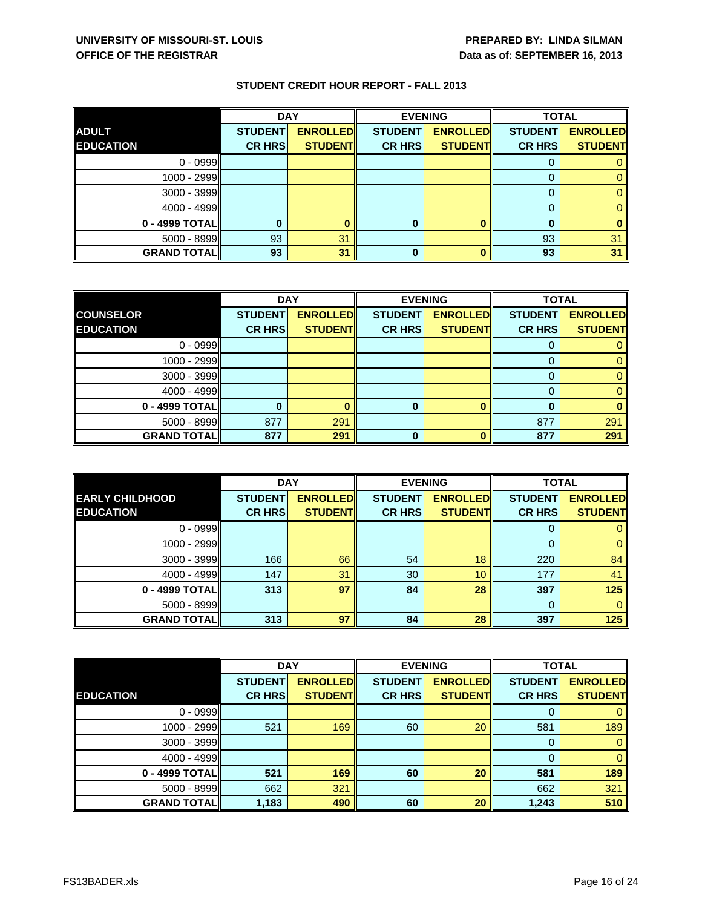|                    | <b>DAY</b>     |                 | <b>EVENING</b> |                 | <b>TOTAL</b>   |                 |
|--------------------|----------------|-----------------|----------------|-----------------|----------------|-----------------|
| <b>ADULT</b>       | <b>STUDENT</b> | <b>ENROLLED</b> | <b>STUDENT</b> | <b>ENROLLED</b> | <b>STUDENT</b> | <b>ENROLLED</b> |
| <b>EDUCATION</b>   | <b>CR HRS</b>  | <b>STUDENT</b>  | <b>CR HRS</b>  | <b>STUDENT</b>  | <b>CR HRS</b>  | <b>STUDENT</b>  |
| $0 - 0999$         |                |                 |                |                 | O              |                 |
| $1000 - 2999$      |                |                 |                |                 |                |                 |
| 3000 - 3999        |                |                 |                |                 | 0              |                 |
| $4000 - 4999$      |                |                 |                |                 |                |                 |
| 0 - 4999 TOTAL     |                |                 |                |                 | 0              |                 |
| $5000 - 8999$      | 93             | 31              |                |                 | 93             | 31              |
| <b>GRAND TOTAL</b> | 93             | 31              | 0              |                 | 93             | 31              |

|                     | <b>DAY</b>     |                 | <b>EVENING</b> |                 | <b>TOTAL</b>   |                 |
|---------------------|----------------|-----------------|----------------|-----------------|----------------|-----------------|
| <b>COUNSELOR</b>    | <b>STUDENT</b> | <b>ENROLLED</b> | <b>STUDENT</b> | <b>ENROLLED</b> | <b>STUDENT</b> | <b>ENROLLED</b> |
| <b>EDUCATION</b>    | <b>CR HRS</b>  | <b>STUDENT</b>  | <b>CR HRS</b>  | <b>STUDENT</b>  | <b>CR HRS</b>  | <b>STUDENT</b>  |
| $0 - 0999$          |                |                 |                |                 |                |                 |
| 1000 - 2999         |                |                 |                |                 |                |                 |
| 3000 - 3999         |                |                 |                |                 |                |                 |
| 4000 - 4999         |                |                 |                |                 |                |                 |
| 0 - 4999 TOTAL      |                |                 | 0              |                 |                |                 |
| 5000 - 8999         | 877            | 291             |                |                 | 877            | 291             |
| <b>GRAND TOTALI</b> | 877            | 291             | 0              |                 | 877            | 291             |

|                        | <b>DAY</b>     |                 | <b>EVENING</b> |                 | <b>TOTAL</b>   |                 |
|------------------------|----------------|-----------------|----------------|-----------------|----------------|-----------------|
| <b>EARLY CHILDHOOD</b> | <b>STUDENT</b> | <b>ENROLLED</b> | <b>STUDENT</b> | <b>ENROLLED</b> | <b>STUDENT</b> | <b>ENROLLED</b> |
| <b>EDUCATION</b>       | <b>CR HRS</b>  | <b>STUDENT</b>  | <b>CR HRS</b>  | <b>STUDENT</b>  | <b>CR HRS</b>  | <b>STUDENT</b>  |
| $0 - 0999$             |                |                 |                |                 |                |                 |
| $1000 - 2999$          |                |                 |                |                 |                |                 |
| $3000 - 3999$          | 166            | 66              | 54             | 18              | 220            | 84              |
| $4000 - 4999$          | 147            | 31              | 30             | 10              | 177            | 41              |
| 0 - 4999 TOTAL         | 313            | 97              | 84             | 28              | 397            | 125             |
| $5000 - 8999$          |                |                 |                |                 |                |                 |
| <b>GRAND TOTAL</b>     | 313            | 97              | 84             | 28              | 397            | 125             |

|                    | <b>DAY</b>     |                  | <b>EVENING</b> |                 | <b>TOTAL</b>   |                 |
|--------------------|----------------|------------------|----------------|-----------------|----------------|-----------------|
|                    | <b>STUDENT</b> | <b>ENROLLEDI</b> | <b>STUDENT</b> | <b>ENROLLED</b> | <b>STUDENT</b> | <b>ENROLLED</b> |
| <b>EDUCATION</b>   | <b>CR HRS</b>  | <b>STUDENTI</b>  | <b>CR HRS</b>  | <b>STUDENTI</b> | <b>CR HRS</b>  | <b>STUDENT</b>  |
| $0 - 0999$         |                |                  |                |                 |                |                 |
| 1000 - 2999        | 521            | 169              | 60             | 20              | 581            | 189             |
| 3000 - 3999        |                |                  |                |                 |                |                 |
| $4000 - 4999$      |                |                  |                |                 |                |                 |
| 0 - 4999 TOTAL     | 521            | 169              | 60             | 20              | 581            | 189             |
| 5000 - 8999        | 662            | 321              |                |                 | 662            | 321             |
| <b>GRAND TOTAL</b> | 1,183          | 490              | 60             | 20              | 1,243          | 510             |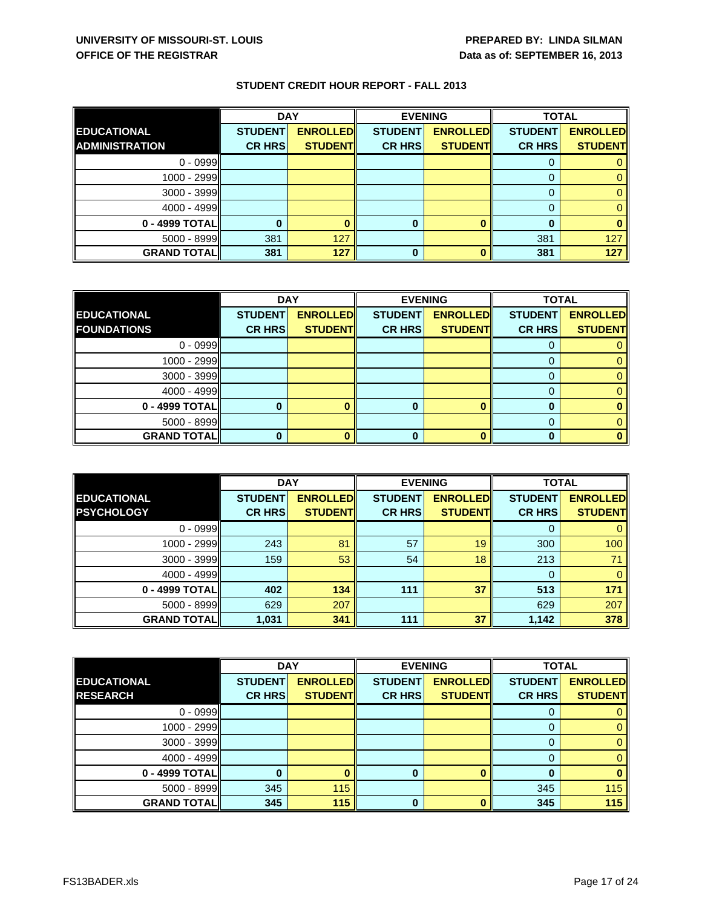|                       | <b>DAY</b>     |                 | <b>EVENING</b> |                 | <b>TOTAL</b>   |                 |
|-----------------------|----------------|-----------------|----------------|-----------------|----------------|-----------------|
| <b>EDUCATIONAL</b>    | <b>STUDENT</b> | <b>ENROLLED</b> | <b>STUDENT</b> | <b>ENROLLED</b> | <b>STUDENT</b> | <b>ENROLLED</b> |
| <b>ADMINISTRATION</b> | <b>CR HRS</b>  | <b>STUDENTI</b> | <b>CR HRS</b>  | <b>STUDENTI</b> | <b>CR HRS</b>  | <b>STUDENTI</b> |
| $0 - 0999$            |                |                 |                |                 | $\Omega$       |                 |
| $1000 - 2999$         |                |                 |                |                 |                |                 |
| 3000 - 3999           |                |                 |                |                 | O              |                 |
| $4000 - 4999$         |                |                 |                |                 |                |                 |
| 0 - 4999 TOTAL        |                |                 | o              |                 | 0              |                 |
| $5000 - 8999$         | 381            | 127             |                |                 | 381            | 127             |
| <b>GRAND TOTAL</b>    | 381            | 127             |                |                 | 381            | 127             |

|                     | <b>DAY</b>     |                 | <b>EVENING</b> |                 | <b>TOTAL</b>   |                 |
|---------------------|----------------|-----------------|----------------|-----------------|----------------|-----------------|
| <b>EDUCATIONAL</b>  | <b>STUDENT</b> | <b>ENROLLED</b> | <b>STUDENT</b> | <b>ENROLLED</b> | <b>STUDENT</b> | <b>ENROLLED</b> |
| <b>FOUNDATIONS</b>  | <b>CR HRS</b>  | <b>STUDENT</b>  | <b>CR HRS</b>  | <b>STUDENT</b>  | <b>CR HRS</b>  | <b>STUDENT</b>  |
| $0 - 0999$          |                |                 |                |                 |                |                 |
| 1000 - 2999         |                |                 |                |                 |                |                 |
| 3000 - 3999         |                |                 |                |                 |                |                 |
| 4000 - 4999         |                |                 |                |                 |                |                 |
| 0 - 4999 TOTAL      |                |                 | o              |                 |                |                 |
| 5000 - 8999         |                |                 |                |                 |                |                 |
| <b>GRAND TOTALI</b> |                |                 | 0              |                 | n              |                 |

|                    | <b>DAY</b>     |                 | <b>EVENING</b> |                 | <b>TOTAL</b>   |                 |
|--------------------|----------------|-----------------|----------------|-----------------|----------------|-----------------|
| <b>EDUCATIONAL</b> | <b>STUDENT</b> | <b>ENROLLED</b> | <b>STUDENT</b> | <b>ENROLLED</b> | <b>STUDENT</b> | <b>ENROLLED</b> |
| <b>PSYCHOLOGY</b>  | <b>CR HRS</b>  | <b>STUDENT</b>  | <b>CR HRS</b>  | <b>STUDENT</b>  | <b>CR HRS</b>  | <b>STUDENT</b>  |
| $0 - 0999$         |                |                 |                |                 |                |                 |
| $1000 - 2999$      | 243            | 81              | 57             | 19              | 300            | 100             |
| $3000 - 3999$      | 159            | 53              | 54             | 18              | 213            |                 |
| $4000 - 4999$      |                |                 |                |                 |                |                 |
| 0 - 4999 TOTAL     | 402            | 134             | 111            | 37              | 513            | 171             |
| $5000 - 8999$      | 629            | 207             |                |                 | 629            | 207             |
| <b>GRAND TOTAL</b> | 1,031          | 341             | 111            | 37              | 1,142          | 378             |

|                    | <b>DAY</b>     |                 | <b>EVENING</b> |                 | <b>TOTAL</b>   |                 |
|--------------------|----------------|-----------------|----------------|-----------------|----------------|-----------------|
| <b>EDUCATIONAL</b> | <b>STUDENT</b> | <b>ENROLLED</b> | <b>STUDENT</b> | <b>ENROLLED</b> | <b>STUDENT</b> | <b>ENROLLED</b> |
| <b>RESEARCH</b>    | <b>CR HRS</b>  | <b>STUDENT</b>  | <b>CR HRS</b>  | <b>STUDENT</b>  | <b>CR HRS</b>  | <b>STUDENT</b>  |
| $0 - 0999$         |                |                 |                |                 | 0              |                 |
| 1000 - 2999        |                |                 |                |                 | 0              |                 |
| 3000 - 3999        |                |                 |                |                 | 0              |                 |
| $4000 - 4999$      |                |                 |                |                 | 0              |                 |
| 0 - 4999 TOTAL     |                |                 |                |                 |                |                 |
| 5000 - 8999        | 345            | 115             |                |                 | 345            | 115             |
| <b>GRAND TOTAL</b> | 345            | 115             | 0              |                 | 345            | 115             |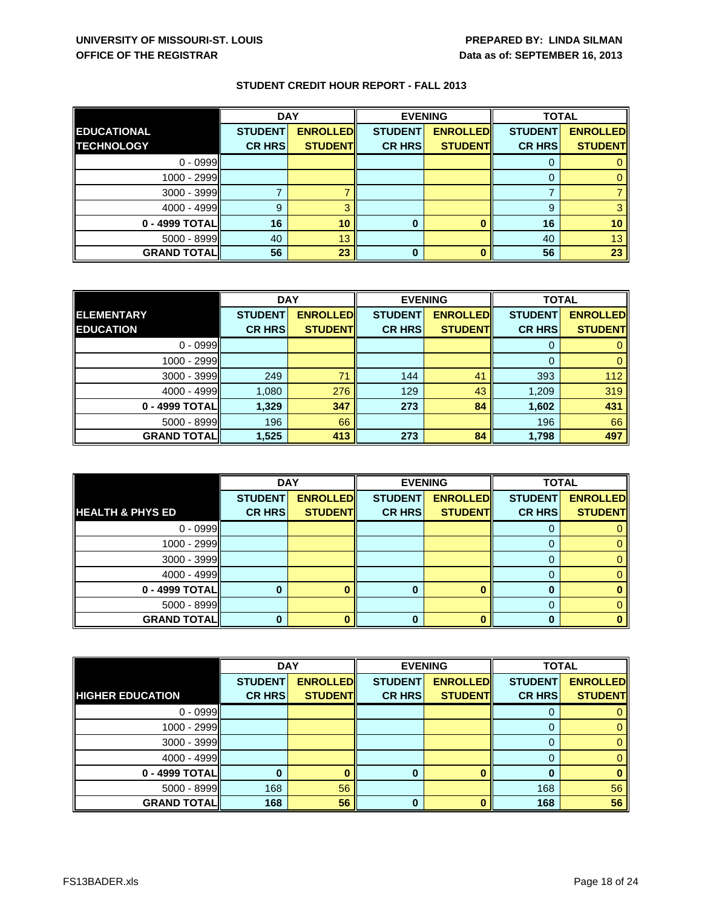|                    | <b>DAY</b>     |                 | <b>EVENING</b> |                 | <b>TOTAL</b>   |                 |
|--------------------|----------------|-----------------|----------------|-----------------|----------------|-----------------|
| <b>EDUCATIONAL</b> | <b>STUDENT</b> | <b>ENROLLED</b> | <b>STUDENT</b> | <b>ENROLLED</b> | <b>STUDENT</b> | <b>ENROLLED</b> |
| <b>TECHNOLOGY</b>  | <b>CR HRS</b>  | <b>STUDENT</b>  | <b>CR HRS</b>  | <b>STUDENT</b>  | <b>CR HRS</b>  | <b>STUDENT</b>  |
| $0 - 0999$         |                |                 |                |                 | O              |                 |
| $1000 - 2999$      |                |                 |                |                 |                |                 |
| 3000 - 3999        |                |                 |                |                 |                |                 |
| $4000 - 4999$      | 9              |                 |                |                 | 9              |                 |
| 0 - 4999 TOTAL     | 16             | 10              |                |                 | 16             | 10 <sup>°</sup> |
| 5000 - 8999        | 40             | 13              |                |                 | 40             | 13 <sup>°</sup> |
| <b>GRAND TOTAL</b> | 56             | 23              | 0              |                 | 56             | 23              |

|                    | <b>DAY</b>     |                 | <b>EVENING</b> |                 | <b>TOTAL</b>   |                 |
|--------------------|----------------|-----------------|----------------|-----------------|----------------|-----------------|
| <b>ELEMENTARY</b>  | <b>STUDENT</b> | <b>ENROLLED</b> | <b>STUDENT</b> | <b>ENROLLED</b> | <b>STUDENT</b> | <b>ENROLLED</b> |
| <b>EDUCATION</b>   | <b>CR HRS</b>  | <b>STUDENT</b>  | <b>CR HRS</b>  | <b>STUDENT</b>  | <b>CR HRS</b>  | <b>STUDENT</b>  |
| $0 - 0999$         |                |                 |                |                 |                |                 |
| $1000 - 2999$      |                |                 |                |                 |                |                 |
| $3000 - 3999$      | 249            | 71              | 144            | 41              | 393            | 112             |
| $4000 - 4999$      | 1,080          | 276             | 129            | 43              | 1,209          | 319             |
| 0 - 4999 TOTAL     | 1,329          | 347             | 273            | 84              | 1,602          | 431             |
| $5000 - 8999$      | 196            | 66              |                |                 | 196            | 66              |
| <b>GRAND TOTAL</b> | 1,525          | 413             | 273            | 84              | 1,798          | 497             |

|                             | <b>DAY</b>     |                 | <b>EVENING</b> |                 | <b>TOTAL</b>   |                 |
|-----------------------------|----------------|-----------------|----------------|-----------------|----------------|-----------------|
|                             | <b>STUDENT</b> | <b>ENROLLED</b> | <b>STUDENT</b> | <b>ENROLLED</b> | <b>STUDENT</b> | <b>ENROLLED</b> |
| <b>HEALTH &amp; PHYS ED</b> | <b>CR HRS</b>  | <b>STUDENT</b>  | <b>CR HRS</b>  | <b>STUDENT</b>  | <b>CR HRS</b>  | <b>STUDENT</b>  |
| $0 - 0999$                  |                |                 |                |                 | υ              |                 |
| 1000 - 2999                 |                |                 |                |                 | 0              |                 |
| $3000 - 3999$               |                |                 |                |                 | 0              |                 |
| $4000 - 4999$               |                |                 |                |                 |                |                 |
| 0 - 4999 TOTAL              |                |                 |                |                 | 0              |                 |
| $5000 - 8999$               |                |                 |                |                 | 0              |                 |
| <b>GRAND TOTAL</b>          |                |                 |                |                 | ŋ              |                 |

|                         | <b>DAY</b>     |                 | <b>EVENING</b> |                 | <b>TOTAL</b>   |                 |
|-------------------------|----------------|-----------------|----------------|-----------------|----------------|-----------------|
|                         | <b>STUDENT</b> | <b>ENROLLED</b> | <b>STUDENT</b> | <b>ENROLLED</b> | <b>STUDENT</b> | <b>ENROLLED</b> |
| <b>HIGHER EDUCATION</b> | <b>CR HRS</b>  | <b>STUDENT</b>  | <b>CR HRS</b>  | <b>STUDENT</b>  | <b>CR HRS</b>  | <b>STUDENT</b>  |
| $0 - 0999$              |                |                 |                |                 | O              |                 |
| 1000 - 2999I            |                |                 |                |                 | 0              |                 |
| $3000 - 3999$           |                |                 |                |                 | 0              |                 |
| $4000 - 4999$           |                |                 |                |                 | 0              |                 |
| 0 - 4999 TOTALI         |                |                 |                |                 |                |                 |
| $5000 - 8999$           | 168            | 56              |                |                 | 168            | 56              |
| <b>GRAND TOTAL</b>      | 168            | 56              | 0              |                 | 168            | 56              |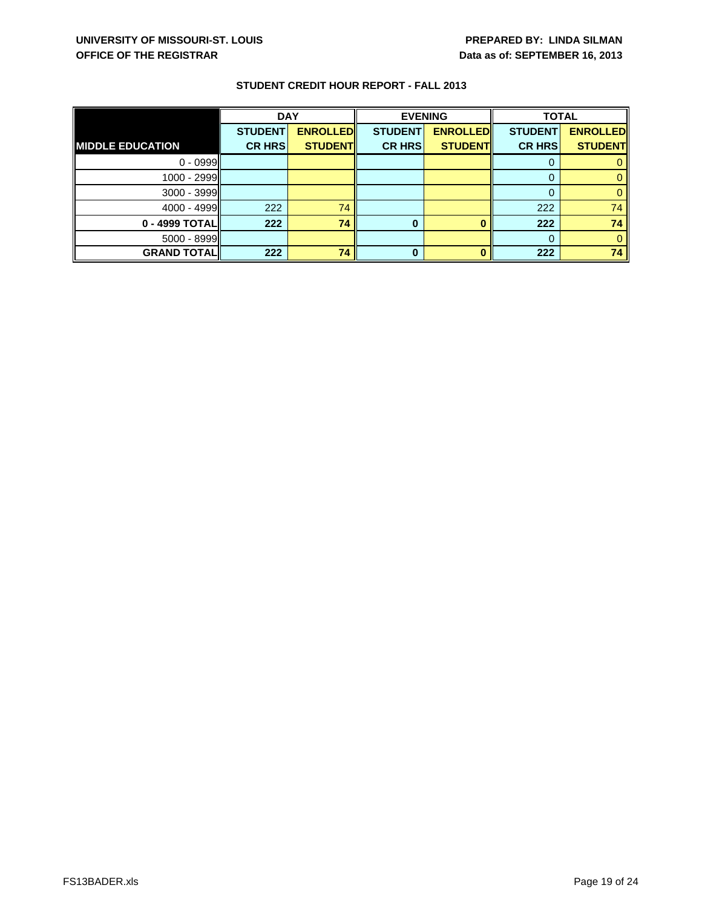|                         | <b>DAY</b>     |                 | <b>EVENING</b> |                 | <b>TOTAL</b>   |                 |
|-------------------------|----------------|-----------------|----------------|-----------------|----------------|-----------------|
|                         | <b>STUDENT</b> | <b>ENROLLED</b> | <b>STUDENT</b> | <b>ENROLLED</b> | <b>STUDENT</b> | <b>ENROLLED</b> |
| <b>MIDDLE EDUCATION</b> | <b>CR HRS</b>  | <b>STUDENT</b>  | <b>CR HRS</b>  | <b>STUDENT</b>  | <b>CR HRS</b>  | <b>STUDENT</b>  |
| $0 - 0999$              |                |                 |                |                 | O              |                 |
| 1000 - 2999             |                |                 |                |                 | 0              |                 |
| $3000 - 3999$           |                |                 |                |                 | 0              |                 |
| $4000 - 4999$           | 222            | 74              |                |                 | 222            | 74              |
| 0 - 4999 TOTAL          | 222            | 74              | 0              |                 | 222            | 74              |
| 5000 - 8999             |                |                 |                |                 | 0              |                 |
| <b>GRAND TOTAL</b>      | 222            | 74              | 0              |                 | 222            | 74              |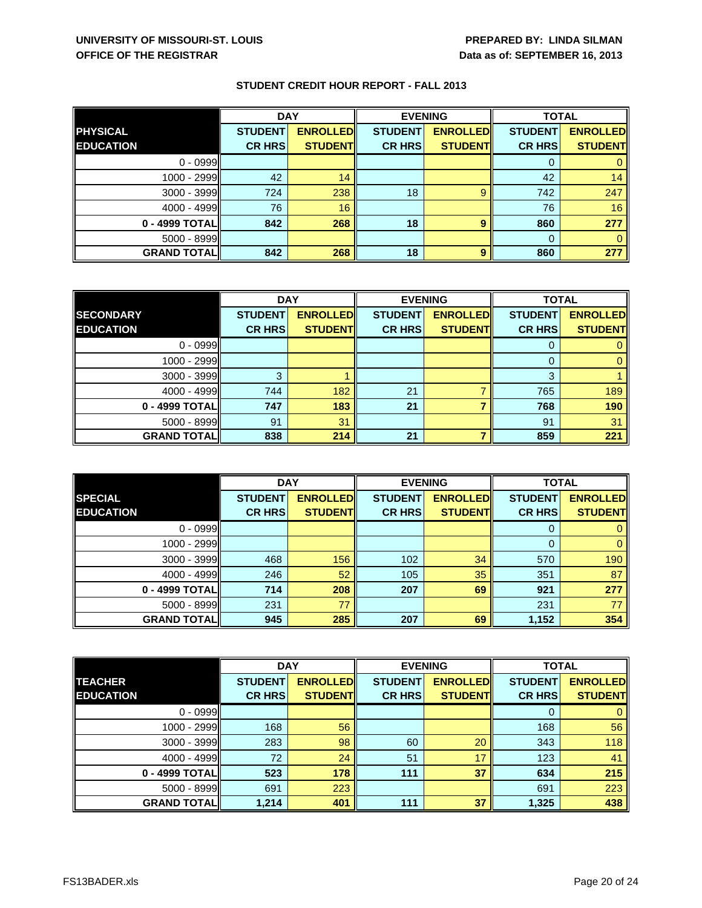|                     | <b>DAY</b>     |                 | <b>EVENING</b> |                 | <b>TOTAL</b>   |                 |
|---------------------|----------------|-----------------|----------------|-----------------|----------------|-----------------|
| <b>PHYSICAL</b>     | <b>STUDENT</b> | <b>ENROLLED</b> | <b>STUDENT</b> | <b>ENROLLED</b> | <b>STUDENT</b> | <b>ENROLLED</b> |
| <b>EDUCATION</b>    | <b>CR HRS</b>  | <b>STUDENT</b>  | <b>CR HRS</b>  | <b>STUDENT</b>  | <b>CR HRS</b>  | <b>STUDENT</b>  |
| $0 - 0999$          |                |                 |                |                 | O              |                 |
| 1000 - 2999         | 42             | 14              |                |                 | 42             | 14              |
| $3000 - 3999$       | 724            | 238             | 18             | 9               | 742            | 247             |
| $4000 - 4999$       | 76             | 16              |                |                 | 76             | 16              |
| 0 - 4999 TOTAL      | 842            | 268             | 18             | 9               | 860            | 277             |
| 5000 - 8999         |                |                 |                |                 | $\Omega$       |                 |
| <b>GRAND TOTALI</b> | 842            | 268             | 18             | 9               | 860            | 277             |

|                     | <b>DAY</b>     |                 | <b>EVENING</b> |                 | <b>TOTAL</b>   |                 |
|---------------------|----------------|-----------------|----------------|-----------------|----------------|-----------------|
| <b>SECONDARY</b>    | <b>STUDENT</b> | <b>ENROLLED</b> | <b>STUDENT</b> | <b>ENROLLED</b> | <b>STUDENT</b> | <b>ENROLLED</b> |
| <b>EDUCATION</b>    | <b>CR HRS</b>  | <b>STUDENT</b>  | <b>CR HRS</b>  | <b>STUDENT</b>  | <b>CR HRS</b>  | <b>STUDENT</b>  |
| $0 - 0999$          |                |                 |                |                 |                |                 |
| $1000 - 2999$       |                |                 |                |                 |                |                 |
| 3000 - 3999         | 3              |                 |                |                 | 3              |                 |
| $4000 - 4999$       | 744            | 182             | 21             |                 | 765            | 189             |
| 0 - 4999 TOTAL      | 747            | 183             | 21             |                 | 768            | 190             |
| $5000 - 8999$       | 91             | 31              |                |                 | 91             | 31              |
| <b>GRAND TOTALI</b> | 838            | 214             | 21             |                 | 859            | 221             |

|                    | <b>DAY</b>     |                 | <b>EVENING</b> |                 | <b>TOTAL</b>   |                 |
|--------------------|----------------|-----------------|----------------|-----------------|----------------|-----------------|
| <b>SPECIAL</b>     | <b>STUDENT</b> | <b>ENROLLED</b> | <b>STUDENT</b> | <b>ENROLLED</b> | <b>STUDENT</b> | <b>ENROLLED</b> |
| <b>EDUCATION</b>   | <b>CR HRS</b>  | <b>STUDENTI</b> | <b>CR HRS</b>  | <b>STUDENTI</b> | <b>CR HRS</b>  | <b>STUDENT</b>  |
| $0 - 0999$         |                |                 |                |                 | 0              |                 |
| 1000 - 2999II      |                |                 |                |                 | $\Omega$       |                 |
| $3000 - 3999$      | 468            | 156             | 102            | 34              | 570            | 190             |
| $4000 - 4999$      | 246            | 52              | 105            | 35              | 351            | 87              |
| 0 - 4999 TOTAL     | 714            | 208             | 207            | 69              | 921            | 277             |
| $5000 - 8999$      | 231            | 77              |                |                 | 231            | 77 I            |
| <b>GRAND TOTAL</b> | 945            | 285             | 207            | 69              | 1,152          | 354             |

|                    | <b>DAY</b>     |                 | <b>EVENING</b> |                 | <b>TOTAL</b>   |                 |
|--------------------|----------------|-----------------|----------------|-----------------|----------------|-----------------|
| <b>TEACHER</b>     | <b>STUDENT</b> | <b>ENROLLED</b> | <b>STUDENT</b> | <b>ENROLLED</b> | <b>STUDENT</b> | <b>ENROLLED</b> |
| <b>EDUCATION</b>   | <b>CR HRS</b>  | <b>STUDENT</b>  | <b>CR HRS</b>  | <b>STUDENT</b>  | <b>CR HRS</b>  | <b>STUDENT</b>  |
| $0 - 0999$         |                |                 |                |                 | 0              |                 |
| 1000 - 2999        | 168            | 56              |                |                 | 168            | 56              |
| 3000 - 3999        | 283            | 98              | 60             | 20              | 343            | 118             |
| $4000 - 4999$      | 72             | 24              | 51             | 17              | 123            | 41              |
| 0 - 4999 TOTAL     | 523            | 178             | 111            | 37              | 634            | 215             |
| 5000 - 8999        | 691            | 223             |                |                 | 691            | 223             |
| <b>GRAND TOTAL</b> | 1,214          | 401             | 111            | 37              | 1,325          | 438             |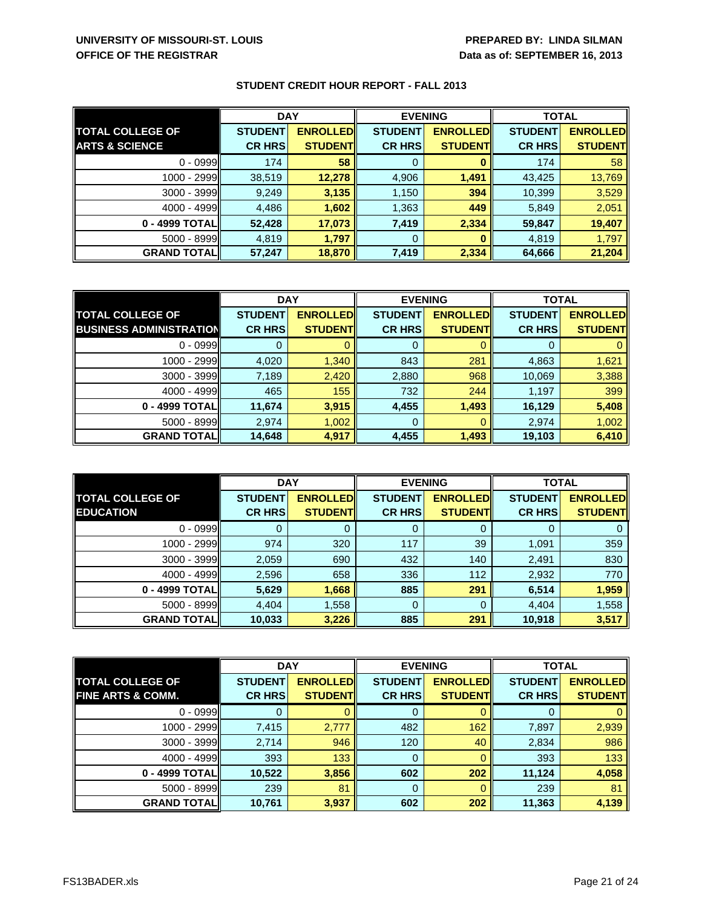|                           | <b>DAY</b>     |                 | <b>EVENING</b> |                 | <b>TOTAL</b>   |                 |
|---------------------------|----------------|-----------------|----------------|-----------------|----------------|-----------------|
| <b>TOTAL COLLEGE OF</b>   | <b>STUDENT</b> | <b>ENROLLED</b> | <b>STUDENT</b> | <b>ENROLLED</b> | <b>STUDENT</b> | <b>ENROLLED</b> |
| <b>ARTS &amp; SCIENCE</b> | <b>CR HRS</b>  | <b>STUDENT</b>  | <b>CR HRS</b>  | <b>STUDENT</b>  | <b>CR HRS</b>  | <b>STUDENT</b>  |
| $0 - 0999$                | 174            | 58              | 0              |                 | 174            | 58              |
| $1000 - 2999$             | 38,519         | 12,278          | 4,906          | 1,491           | 43,425         | 13,769          |
| $3000 - 3999$             | 9,249          | 3,135           | 1,150          | 394             | 10,399         | 3,529           |
| $4000 - 4999$             | 4,486          | 1,602           | 1,363          | 449             | 5,849          | 2,051           |
| 0 - 4999 TOTALI           | 52,428         | 17,073          | 7,419          | 2,334           | 59,847         | 19,407          |
| $5000 - 8999$             | 4,819          | 1,797           | 0              |                 | 4,819          | 1,797           |
| <b>GRAND TOTAL</b>        | 57,247         | 18,870          | 7,419          | 2,334           | 64,666         | 21,204          |

|                                | <b>DAY</b>     |                  | <b>EVENING</b> |                 | <b>TOTAL</b>   |                 |
|--------------------------------|----------------|------------------|----------------|-----------------|----------------|-----------------|
| <b>TOTAL COLLEGE OF</b>        | <b>STUDENT</b> | <b>ENROLLEDI</b> | <b>STUDENT</b> | <b>ENROLLED</b> | <b>STUDENT</b> | <b>ENROLLED</b> |
| <b>BUSINESS ADMINISTRATION</b> | <b>CR HRS</b>  | <b>STUDENT</b>   | <b>CR HRS</b>  | <b>STUDENT</b>  | <b>CR HRS</b>  | <b>STUDENT</b>  |
| $0 - 0999$                     |                |                  | 0              |                 |                |                 |
| 1000 - 2999                    | 4,020          | 1,340            | 843            | 281             | 4,863          | 1,621           |
| 3000 - 3999                    | 7,189          | 2,420            | 2,880          | 968             | 10,069         | 3,388           |
| $4000 - 4999$                  | 465            | 155              | 732            | 244             | 1,197          | 399             |
| 0 - 4999 TOTAL                 | 11,674         | 3,915            | 4,455          | 1,493           | 16,129         | 5,408           |
| 5000 - 8999                    | 2,974          | 1,002            | 0              |                 | 2,974          | 1,002           |
| <b>GRAND TOTAL</b>             | 14,648         | 4,917            | 4,455          | 1,493           | 19,103         | 6,410           |

|                         | <b>DAY</b>     |                 | <b>EVENING</b> |                  | <b>TOTAL</b>   |                 |
|-------------------------|----------------|-----------------|----------------|------------------|----------------|-----------------|
| <b>TOTAL COLLEGE OF</b> | <b>STUDENT</b> | <b>ENROLLED</b> | <b>STUDENT</b> | <b>ENROLLEDI</b> | <b>STUDENT</b> | <b>ENROLLED</b> |
| <b>EDUCATION</b>        | <b>CR HRS</b>  | <b>STUDENTI</b> | <b>CR HRS</b>  | <b>STUDENTI</b>  | <b>CR HRS</b>  | <b>STUDENTI</b> |
| $0 - 0999$              |                |                 | Ü              |                  | O              |                 |
| 1000 - 2999II           | 974            | 320             | 117            | 39               | 1,091          | 359             |
| $3000 - 3999$           | 2,059          | 690             | 432            | 140              | 2,491          | 830             |
| $4000 - 4999$           | 2,596          | 658             | 336            | 112              | 2,932          | 770             |
| 0 - 4999 TOTALI         | 5,629          | 1,668           | 885            | 291              | 6,514          | 1,959           |
| $5000 - 8999$           | 4,404          | 1,558           | 0              |                  | 4,404          | 1,558           |
| <b>GRAND TOTAL</b>      | 10,033         | 3,226           | 885            | 291              | 10,918         | 3,517           |

|                              | <b>DAY</b>     |                 | <b>EVENING</b> |                 | <b>TOTAL</b>   |                 |
|------------------------------|----------------|-----------------|----------------|-----------------|----------------|-----------------|
| <b>TOTAL COLLEGE OF</b>      | <b>STUDENT</b> | <b>ENROLLED</b> | <b>STUDENT</b> | <b>ENROLLED</b> | <b>STUDENT</b> | <b>ENROLLED</b> |
| <b>FINE ARTS &amp; COMM.</b> | <b>CR HRS</b>  | <b>STUDENTI</b> | <b>CR HRS</b>  | <b>STUDENT</b>  | <b>CR HRS</b>  | <b>STUDENT</b>  |
| $0 - 0999$                   |                |                 | 0              |                 |                |                 |
| 1000 - 2999                  | 7,415          | 2,777           | 482            | 162             | 7,897          | 2,939           |
| 3000 - 3999                  | 2,714          | 946             | 120            | 40              | 2,834          | 986             |
| $4000 - 4999$                | 393            | 133             | 0              |                 | 393            | 133             |
| 0 - 4999 TOTAL               | 10,522         | 3,856           | 602            | 202             | 11.124         | 4,058           |
| 5000 - 8999                  | 239            | 81              | 0              |                 | 239            | 81              |
| <b>GRAND TOTALI</b>          | 10,761         | 3,937           | 602            | 202             | 11,363         | 4,139           |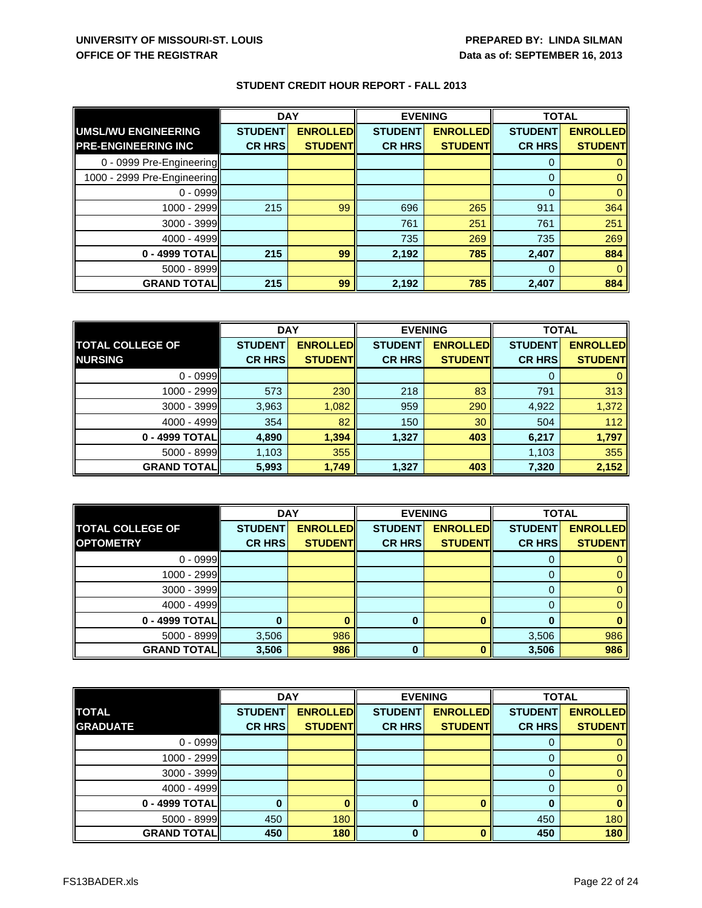|                             | <b>DAY</b>     |                 | <b>EVENING</b> |                 | <b>TOTAL</b>   |                 |
|-----------------------------|----------------|-----------------|----------------|-----------------|----------------|-----------------|
| UMSL/WU ENGINEERING         | <b>STUDENT</b> | <b>ENROLLED</b> | <b>STUDENT</b> | <b>ENROLLED</b> | <b>STUDENT</b> | <b>ENROLLED</b> |
| <b>PRE-ENGINEERING INC</b>  | <b>CR HRS</b>  | <b>STUDENT</b>  | <b>CR HRS</b>  | <b>STUDENT</b>  | <b>CR HRS</b>  | <b>STUDENT</b>  |
| 0 - 0999 Pre-Engineering    |                |                 |                |                 | 0              |                 |
| 1000 - 2999 Pre-Engineering |                |                 |                |                 | $\Omega$       |                 |
| $0 - 0999$                  |                |                 |                |                 | $\Omega$       |                 |
| 1000 - 2999                 | 215            | 99              | 696            | 265             | 911            | 364             |
| $3000 - 3999$               |                |                 | 761            | 251             | 761            | 251             |
| 4000 - 4999                 |                |                 | 735            | 269             | 735            | 269             |
| $0 - 4999$ TOTAL            | 215            | 99              | 2,192          | 785             | 2,407          | 884             |
| $5000 - 8999$               |                |                 |                |                 | $\Omega$       |                 |
| <b>GRAND TOTALI</b>         | 215            | 99              | 2,192          | 785             | 2.407          | 884             |

|                         | <b>DAY</b>     |                 | <b>EVENING</b> |                 | <b>TOTAL</b>   |                 |
|-------------------------|----------------|-----------------|----------------|-----------------|----------------|-----------------|
| <b>TOTAL COLLEGE OF</b> | <b>STUDENT</b> | <b>ENROLLED</b> | <b>STUDENT</b> | <b>ENROLLED</b> | <b>STUDENT</b> | <b>ENROLLED</b> |
| <b>NURSING</b>          | <b>CR HRS</b>  | <b>STUDENTI</b> | <b>CR HRS</b>  | <b>STUDENTI</b> | <b>CR HRS</b>  | <b>STUDENT</b>  |
| $0 - 0999$              |                |                 |                |                 | 0              |                 |
| 1000 - 2999I            | 573            | 230             | 218            | 83              | 791            | 313             |
| $3000 - 3999$           | 3,963          | 1,082           | 959            | 290             | 4,922          | 1,372           |
| $4000 - 4999$           | 354            | 82              | 150            | 30              | 504            | 112             |
| 0 - 4999 TOTAL          | 4,890          | 1,394           | 1,327          | 403             | 6,217          | 1,797           |
| $5000 - 8999$           | 1,103          | 355             |                |                 | 1,103          | 355             |
| <b>GRAND TOTAL</b>      | 5,993          | 1,749           | 1,327          | 403             | 7,320          | 2,152           |

|                         | <b>DAY</b>     |                 | <b>EVENING</b> |                 | <b>TOTAL</b>   |                 |
|-------------------------|----------------|-----------------|----------------|-----------------|----------------|-----------------|
| <b>TOTAL COLLEGE OF</b> | <b>STUDENT</b> | <b>ENROLLED</b> | <b>STUDENT</b> | <b>ENROLLED</b> | <b>STUDENT</b> | <b>ENROLLED</b> |
| <b>OPTOMETRY</b>        | <b>CR HRS</b>  | <b>STUDENT</b>  | <b>CR HRS</b>  | <b>STUDENT</b>  | <b>CR HRS</b>  | <b>STUDENT</b>  |
| $0 - 0999$              |                |                 |                |                 | 0              |                 |
| 1000 - 2999             |                |                 |                |                 |                |                 |
| 3000 - 3999             |                |                 |                |                 | 0              |                 |
| $4000 - 4999$           |                |                 |                |                 | 0              |                 |
| 0 - 4999 TOTAL          |                |                 | <sup>0</sup>   |                 | O              |                 |
| 5000 - 8999             | 3,506          | 986             |                |                 | 3,506          | 986             |
| <b>GRAND TOTAL</b>      | 3,506          | 986             | $\bf{0}$       |                 | 3,506          | 986             |

|                    | <b>DAY</b><br><b>EVENING</b> |                 | <b>TOTAL</b>   |                 |                |                 |
|--------------------|------------------------------|-----------------|----------------|-----------------|----------------|-----------------|
| <b>TOTAL</b>       | <b>STUDENT</b>               | <b>ENROLLED</b> | <b>STUDENT</b> | <b>ENROLLED</b> | <b>STUDENT</b> | <b>ENROLLED</b> |
| <b>GRADUATE</b>    | <b>CR HRS</b>                | <b>STUDENT</b>  | <b>CR HRS</b>  | <b>STUDENT</b>  | <b>CR HRS</b>  | <b>STUDENT</b>  |
| $0 - 0999$         |                              |                 |                |                 |                |                 |
| 1000 - 2999        |                              |                 |                |                 |                |                 |
| $3000 - 3999$      |                              |                 |                |                 |                |                 |
| $4000 - 4999$      |                              |                 |                |                 |                |                 |
| 0 - 4999 TOTAL     |                              |                 | 0              |                 |                |                 |
| $5000 - 8999$      | 450                          | 180             |                |                 | 450            | 180             |
| <b>GRAND TOTAL</b> | 450                          | 180             | 0              |                 | 450            | 180             |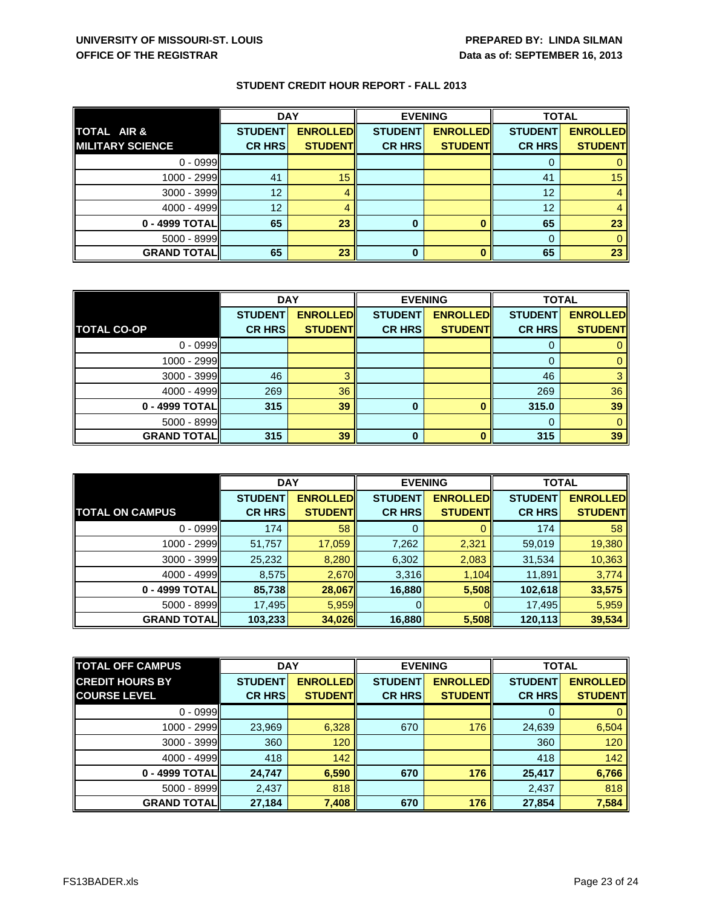|                         | <b>DAY</b>     |                 | <b>EVENING</b> |                 | <b>TOTAL</b>   |                 |
|-------------------------|----------------|-----------------|----------------|-----------------|----------------|-----------------|
| TOTAL AIR &             | <b>STUDENT</b> | <b>ENROLLED</b> | <b>STUDENT</b> | <b>ENROLLED</b> | <b>STUDENT</b> | <b>ENROLLED</b> |
| <b>MILITARY SCIENCE</b> | <b>CR HRS</b>  | <b>STUDENT</b>  | <b>CR HRS</b>  | <b>STUDENT</b>  | <b>CR HRS</b>  | <b>STUDENT</b>  |
| $0 - 0999$              |                |                 |                |                 | O              |                 |
| $1000 - 2999$           | 41             | 15              |                |                 | 41             | 15 <sup>2</sup> |
| 3000 - 3999             | 12             |                 |                |                 | 12             | 4               |
| $4000 - 4999$           | 12             |                 |                |                 | 12             |                 |
| 0 - 4999 TOTAL          | 65             | 23              |                |                 | 65             | 23              |
| 5000 - 8999             |                |                 |                |                 | 0              |                 |
| <b>GRAND TOTAL</b>      | 65             | 23              | 0              |                 | 65             | 23              |

|                     | <b>DAY</b>     |                 | <b>EVENING</b> |                 | <b>TOTAL</b>   |                 |
|---------------------|----------------|-----------------|----------------|-----------------|----------------|-----------------|
|                     | <b>STUDENT</b> | <b>ENROLLED</b> | <b>STUDENT</b> | <b>ENROLLED</b> | <b>STUDENT</b> | <b>ENROLLED</b> |
| <b>TOTAL CO-OP</b>  | <b>CR HRS</b>  | <b>STUDENT</b>  | <b>CR HRS</b>  | <b>STUDENT</b>  | <b>CR HRS</b>  | <b>STUDENT</b>  |
| $0 - 0999$          |                |                 |                |                 |                |                 |
| 1000 - 2999         |                |                 |                |                 |                |                 |
| $3000 - 3999$       | 46             |                 |                |                 | 46             |                 |
| $4000 - 4999$       | 269            | 36              |                |                 | 269            | 36              |
| 0 - 4999 TOTAL      | 315            | 39              | 0              |                 | 315.0          | 39              |
| $5000 - 8999$       |                |                 |                |                 |                |                 |
| <b>GRAND TOTALI</b> | 315            | 39              | $\bf{0}$       |                 | 315            | 39              |

|                        | <b>DAY</b>     |                 | <b>EVENING</b> |                 | <b>TOTAL</b>   |                 |
|------------------------|----------------|-----------------|----------------|-----------------|----------------|-----------------|
|                        | <b>STUDENT</b> | <b>ENROLLED</b> | <b>STUDENT</b> | <b>ENROLLED</b> | <b>STUDENT</b> | <b>ENROLLED</b> |
| <b>TOTAL ON CAMPUS</b> | <b>CR HRS</b>  | <b>STUDENT</b>  | <b>CR HRS</b>  | <b>STUDENT</b>  | <b>CR HRS</b>  | <b>STUDENT</b>  |
| $0 - 0999$             | 174            | 58              |                |                 | 174            | 58 <sub>1</sub> |
| 1000 - 2999            | 51,757         | 17,059          | 7,262          | 2,321           | 59,019         | 19,380          |
| $3000 - 3999$          | 25,232         | 8,280           | 6,302          | 2,083           | 31,534         | 10,363          |
| $4000 - 4999$          | 8,575          | 2,670           | 3,316          | 1,104           | 11,891         | 3,774           |
| 0 - 4999 TOTAL         | 85,738         | 28,067          | 16,880         | 5,508           | 102,618        | 33,575          |
| $5000 - 8999$          | 17,495         | 5,959           |                |                 | 17,495         | 5,959           |
| <b>GRAND TOTAL</b>     | 103,233        | 34,026          | 16,880         | 5,508           | 120,113        | 39,534          |

| <b>TOTAL OFF CAMPUS</b> | <b>DAY</b>     |                 | <b>EVENING</b> |                 | <b>TOTAL</b>   |                 |
|-------------------------|----------------|-----------------|----------------|-----------------|----------------|-----------------|
| <b>CREDIT HOURS BY</b>  | <b>STUDENT</b> | <b>ENROLLED</b> | <b>STUDENT</b> | <b>ENROLLED</b> | <b>STUDENT</b> | <b>ENROLLED</b> |
| <b>COURSE LEVEL</b>     | <b>CR HRS</b>  | <b>STUDENTI</b> | <b>CR HRS</b>  | <b>STUDENTI</b> | <b>CR HRS</b>  | <b>STUDENT</b>  |
| $0 - 0999$              |                |                 |                |                 |                |                 |
| 1000 - 2999             | 23,969         | 6,328           | 670            | 176             | 24,639         | 6,504           |
| $3000 - 3999$           | 360            | 120             |                |                 | 360            | 120             |
| $4000 - 4999$           | 418            | 142             |                |                 | 418            | 142             |
| 0 - 4999 TOTAL          | 24,747         | 6,590           | 670            | 176             | 25,417         | 6,766           |
| $5000 - 8999$           | 2,437          | 818             |                |                 | 2,437          | 818             |
| <b>GRAND TOTALI</b>     | 27,184         | 7,408           | 670            | 176             | 27,854         | 7,584           |